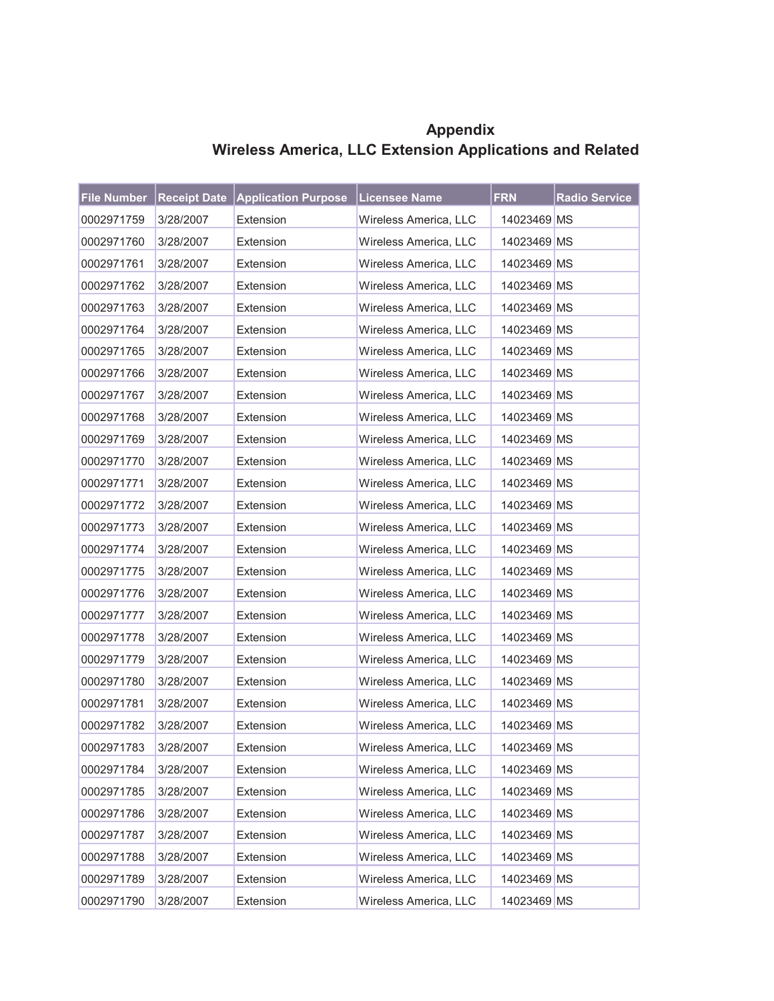| <b>File Number</b> |           | <b>Receipt Date Application Purpose Licensee Name</b> |                       | <b>FRN</b>  | <b>Radio Service</b> |
|--------------------|-----------|-------------------------------------------------------|-----------------------|-------------|----------------------|
| 0002971759         | 3/28/2007 | Extension                                             | Wireless America, LLC | 14023469 MS |                      |
| 0002971760         | 3/28/2007 | Extension                                             | Wireless America, LLC | 14023469 MS |                      |
| 0002971761         | 3/28/2007 | Extension                                             | Wireless America, LLC | 14023469 MS |                      |
| 0002971762         | 3/28/2007 | Extension                                             | Wireless America, LLC | 14023469 MS |                      |
| 0002971763         | 3/28/2007 | Extension                                             | Wireless America, LLC | 14023469 MS |                      |
| 0002971764         | 3/28/2007 | Extension                                             | Wireless America, LLC | 14023469 MS |                      |
| 0002971765         | 3/28/2007 | Extension                                             | Wireless America, LLC | 14023469 MS |                      |
| 0002971766         | 3/28/2007 | Extension                                             | Wireless America, LLC | 14023469 MS |                      |
| 0002971767         | 3/28/2007 | Extension                                             | Wireless America, LLC | 14023469 MS |                      |
| 0002971768         | 3/28/2007 | Extension                                             | Wireless America, LLC | 14023469 MS |                      |
| 0002971769         | 3/28/2007 | Extension                                             | Wireless America, LLC | 14023469 MS |                      |
| 0002971770         | 3/28/2007 | Extension                                             | Wireless America, LLC | 14023469 MS |                      |
| 0002971771         | 3/28/2007 | Extension                                             | Wireless America, LLC | 14023469 MS |                      |
| 0002971772         | 3/28/2007 | Extension                                             | Wireless America, LLC | 14023469 MS |                      |
| 0002971773         | 3/28/2007 | Extension                                             | Wireless America, LLC | 14023469 MS |                      |
| 0002971774         | 3/28/2007 | Extension                                             | Wireless America, LLC | 14023469 MS |                      |
| 0002971775         | 3/28/2007 | Extension                                             | Wireless America, LLC | 14023469 MS |                      |
| 0002971776         | 3/28/2007 | Extension                                             | Wireless America, LLC | 14023469 MS |                      |
| 0002971777         | 3/28/2007 | Extension                                             | Wireless America, LLC | 14023469 MS |                      |
| 0002971778         | 3/28/2007 | Extension                                             | Wireless America, LLC | 14023469 MS |                      |
| 0002971779         | 3/28/2007 | Extension                                             | Wireless America, LLC | 14023469 MS |                      |
| 0002971780         | 3/28/2007 | Extension                                             | Wireless America, LLC | 14023469 MS |                      |
| 0002971781         | 3/28/2007 | Extension                                             | Wireless America, LLC | 14023469 MS |                      |
| 0002971782         | 3/28/2007 | Extension                                             | Wireless America, LLC | 14023469 MS |                      |
| 0002971783         | 3/28/2007 | Extension                                             | Wireless America. LLC | 14023469 MS |                      |
| 0002971784         | 3/28/2007 | Extension                                             | Wireless America, LLC | 14023469 MS |                      |
| 0002971785         | 3/28/2007 | Extension                                             | Wireless America, LLC | 14023469 MS |                      |
| 0002971786         | 3/28/2007 | Extension                                             | Wireless America, LLC | 14023469 MS |                      |
| 0002971787         | 3/28/2007 | Extension                                             | Wireless America, LLC | 14023469 MS |                      |
| 0002971788         | 3/28/2007 | Extension                                             | Wireless America, LLC | 14023469 MS |                      |
| 0002971789         | 3/28/2007 | Extension                                             | Wireless America, LLC | 14023469 MS |                      |
| 0002971790         | 3/28/2007 | Extension                                             | Wireless America, LLC | 14023469 MS |                      |

**Appendix Wireless America, LLC Extension Applications and Related**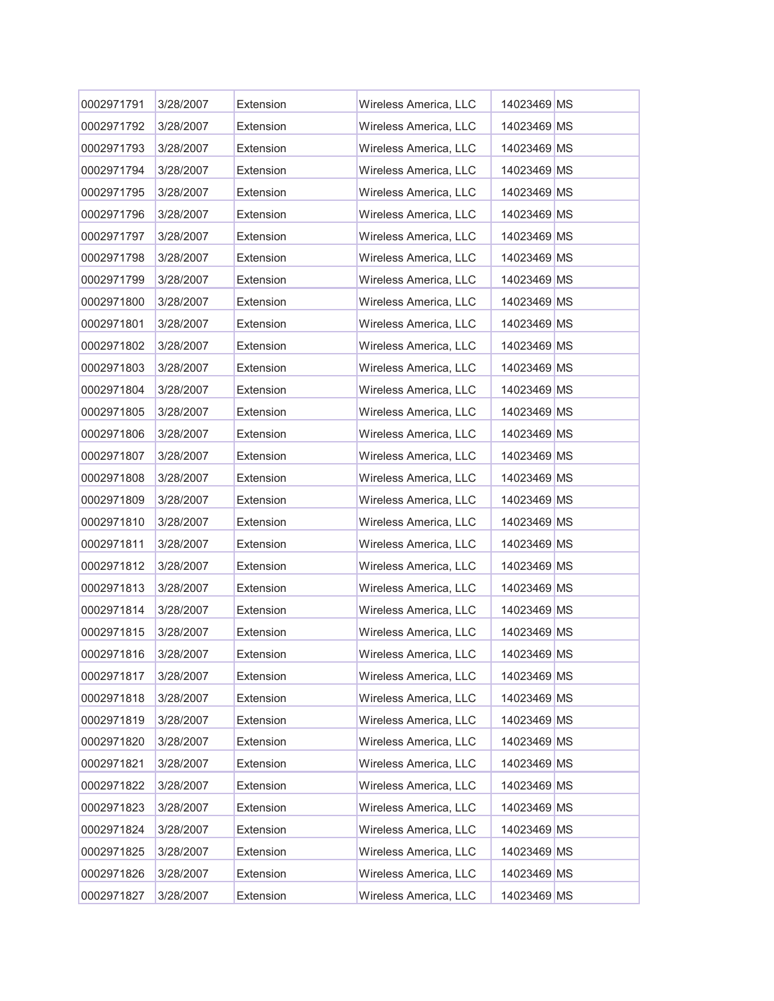| 0002971791 | 3/28/2007 | Extension | Wireless America, LLC | 14023469 MS |  |
|------------|-----------|-----------|-----------------------|-------------|--|
| 0002971792 | 3/28/2007 | Extension | Wireless America, LLC | 14023469 MS |  |
| 0002971793 | 3/28/2007 | Extension | Wireless America, LLC | 14023469 MS |  |
| 0002971794 | 3/28/2007 | Extension | Wireless America, LLC | 14023469 MS |  |
| 0002971795 | 3/28/2007 | Extension | Wireless America, LLC | 14023469 MS |  |
| 0002971796 | 3/28/2007 | Extension | Wireless America, LLC | 14023469 MS |  |
| 0002971797 | 3/28/2007 | Extension | Wireless America, LLC | 14023469 MS |  |
| 0002971798 | 3/28/2007 | Extension | Wireless America, LLC | 14023469 MS |  |
| 0002971799 | 3/28/2007 | Extension | Wireless America, LLC | 14023469 MS |  |
| 0002971800 | 3/28/2007 | Extension | Wireless America, LLC | 14023469 MS |  |
| 0002971801 | 3/28/2007 | Extension | Wireless America, LLC | 14023469 MS |  |
| 0002971802 | 3/28/2007 | Extension | Wireless America, LLC | 14023469 MS |  |
| 0002971803 | 3/28/2007 | Extension | Wireless America, LLC | 14023469 MS |  |
| 0002971804 | 3/28/2007 | Extension | Wireless America, LLC | 14023469 MS |  |
| 0002971805 | 3/28/2007 | Extension | Wireless America, LLC | 14023469 MS |  |
| 0002971806 | 3/28/2007 | Extension | Wireless America, LLC | 14023469 MS |  |
| 0002971807 | 3/28/2007 | Extension | Wireless America, LLC | 14023469 MS |  |
| 0002971808 | 3/28/2007 | Extension | Wireless America, LLC | 14023469 MS |  |
| 0002971809 | 3/28/2007 | Extension | Wireless America, LLC | 14023469 MS |  |
| 0002971810 | 3/28/2007 | Extension | Wireless America, LLC | 14023469 MS |  |
| 0002971811 | 3/28/2007 | Extension | Wireless America, LLC | 14023469 MS |  |
| 0002971812 | 3/28/2007 | Extension | Wireless America, LLC | 14023469 MS |  |
| 0002971813 | 3/28/2007 | Extension | Wireless America, LLC | 14023469 MS |  |
| 0002971814 | 3/28/2007 | Extension | Wireless America, LLC | 14023469 MS |  |
| 0002971815 | 3/28/2007 | Extension | Wireless America, LLC | 14023469 MS |  |
| 0002971816 | 3/28/2007 | Extension | Wireless America, LLC | 14023469 MS |  |
| 0002971817 | 3/28/2007 | Extension | Wireless America, LLC | 14023469 MS |  |
| 0002971818 | 3/28/2007 | Extension | Wireless America, LLC | 14023469 MS |  |
| 0002971819 | 3/28/2007 | Extension | Wireless America, LLC | 14023469 MS |  |
| 0002971820 | 3/28/2007 | Extension | Wireless America, LLC | 14023469 MS |  |
| 0002971821 | 3/28/2007 | Extension | Wireless America, LLC | 14023469 MS |  |
| 0002971822 | 3/28/2007 | Extension | Wireless America, LLC | 14023469 MS |  |
| 0002971823 | 3/28/2007 | Extension | Wireless America, LLC | 14023469 MS |  |
| 0002971824 | 3/28/2007 | Extension | Wireless America, LLC | 14023469 MS |  |
| 0002971825 | 3/28/2007 | Extension | Wireless America, LLC | 14023469 MS |  |
| 0002971826 | 3/28/2007 | Extension | Wireless America, LLC | 14023469 MS |  |
| 0002971827 | 3/28/2007 | Extension | Wireless America, LLC | 14023469 MS |  |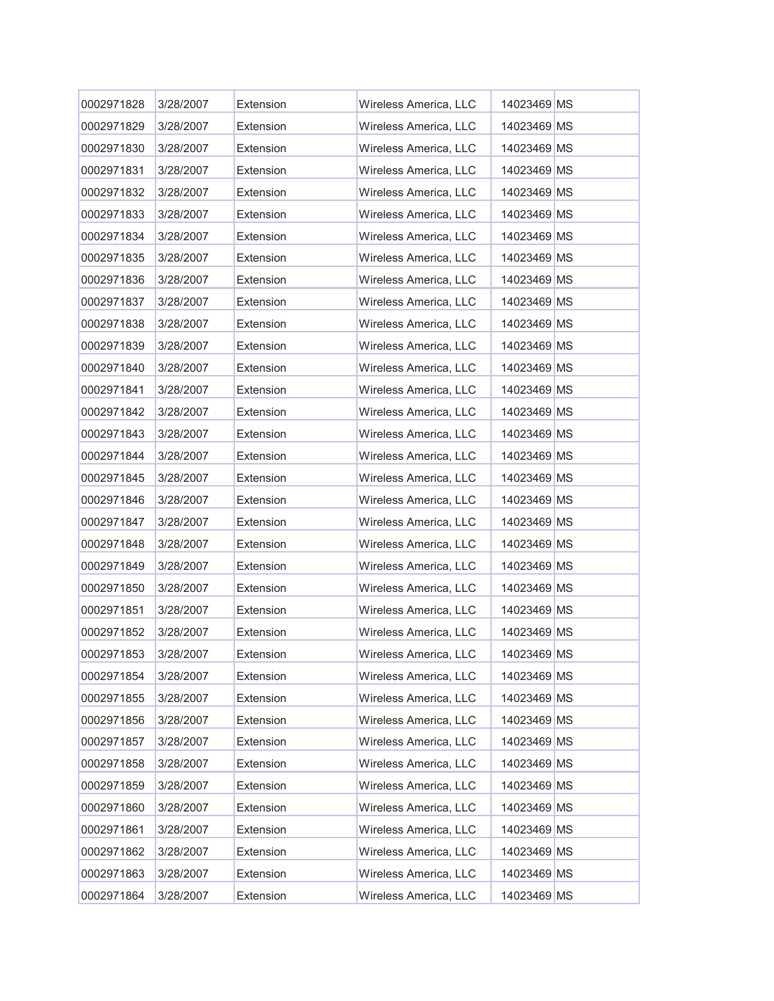| 0002971828 | 3/28/2007 | Extension | Wireless America, LLC | 14023469 MS |  |
|------------|-----------|-----------|-----------------------|-------------|--|
| 0002971829 | 3/28/2007 | Extension | Wireless America, LLC | 14023469 MS |  |
| 0002971830 | 3/28/2007 | Extension | Wireless America, LLC | 14023469 MS |  |
| 0002971831 | 3/28/2007 | Extension | Wireless America, LLC | 14023469 MS |  |
| 0002971832 | 3/28/2007 | Extension | Wireless America, LLC | 14023469 MS |  |
| 0002971833 | 3/28/2007 | Extension | Wireless America, LLC | 14023469 MS |  |
| 0002971834 | 3/28/2007 | Extension | Wireless America, LLC | 14023469 MS |  |
| 0002971835 | 3/28/2007 | Extension | Wireless America, LLC | 14023469 MS |  |
| 0002971836 | 3/28/2007 | Extension | Wireless America, LLC | 14023469 MS |  |
| 0002971837 | 3/28/2007 | Extension | Wireless America, LLC | 14023469 MS |  |
| 0002971838 | 3/28/2007 | Extension | Wireless America, LLC | 14023469 MS |  |
| 0002971839 | 3/28/2007 | Extension | Wireless America, LLC | 14023469 MS |  |
| 0002971840 | 3/28/2007 | Extension | Wireless America, LLC | 14023469 MS |  |
| 0002971841 | 3/28/2007 | Extension | Wireless America, LLC | 14023469 MS |  |
| 0002971842 | 3/28/2007 | Extension | Wireless America, LLC | 14023469 MS |  |
| 0002971843 | 3/28/2007 | Extension | Wireless America, LLC | 14023469 MS |  |
| 0002971844 | 3/28/2007 | Extension | Wireless America, LLC | 14023469 MS |  |
| 0002971845 | 3/28/2007 | Extension | Wireless America, LLC | 14023469 MS |  |
| 0002971846 | 3/28/2007 | Extension | Wireless America, LLC | 14023469 MS |  |
| 0002971847 | 3/28/2007 | Extension | Wireless America, LLC | 14023469 MS |  |
| 0002971848 | 3/28/2007 | Extension | Wireless America, LLC | 14023469 MS |  |
| 0002971849 | 3/28/2007 | Extension | Wireless America, LLC | 14023469 MS |  |
| 0002971850 | 3/28/2007 | Extension | Wireless America, LLC | 14023469 MS |  |
| 0002971851 | 3/28/2007 | Extension | Wireless America, LLC | 14023469 MS |  |
| 0002971852 | 3/28/2007 | Extension | Wireless America, LLC | 14023469 MS |  |
| 0002971853 | 3/28/2007 | Extension | Wireless America, LLC | 14023469 MS |  |
| 0002971854 | 3/28/2007 | Extension | Wireless America, LLC | 14023469 MS |  |
| 0002971855 | 3/28/2007 | Extension | Wireless America, LLC | 14023469 MS |  |
| 0002971856 | 3/28/2007 | Extension | Wireless America, LLC | 14023469 MS |  |
| 0002971857 | 3/28/2007 | Extension | Wireless America, LLC | 14023469 MS |  |
| 0002971858 | 3/28/2007 | Extension | Wireless America, LLC | 14023469 MS |  |
| 0002971859 | 3/28/2007 | Extension | Wireless America, LLC | 14023469 MS |  |
| 0002971860 | 3/28/2007 | Extension | Wireless America, LLC | 14023469 MS |  |
| 0002971861 | 3/28/2007 | Extension | Wireless America, LLC | 14023469 MS |  |
| 0002971862 | 3/28/2007 | Extension | Wireless America, LLC | 14023469 MS |  |
| 0002971863 | 3/28/2007 | Extension | Wireless America, LLC | 14023469 MS |  |
| 0002971864 | 3/28/2007 | Extension | Wireless America, LLC | 14023469 MS |  |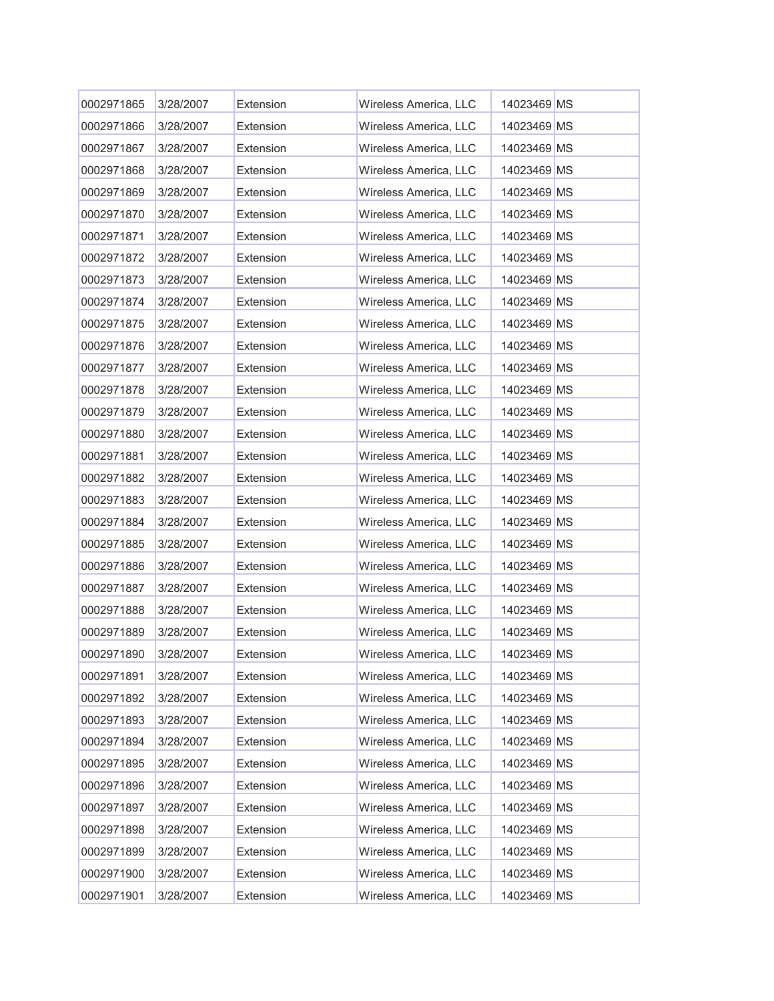| 0002971865 | 3/28/2007 | Extension | Wireless America, LLC | 14023469 MS |  |
|------------|-----------|-----------|-----------------------|-------------|--|
| 0002971866 | 3/28/2007 | Extension | Wireless America, LLC | 14023469 MS |  |
| 0002971867 | 3/28/2007 | Extension | Wireless America, LLC | 14023469 MS |  |
| 0002971868 | 3/28/2007 | Extension | Wireless America, LLC | 14023469 MS |  |
| 0002971869 | 3/28/2007 | Extension | Wireless America, LLC | 14023469 MS |  |
| 0002971870 | 3/28/2007 | Extension | Wireless America, LLC | 14023469 MS |  |
| 0002971871 | 3/28/2007 | Extension | Wireless America, LLC | 14023469 MS |  |
| 0002971872 | 3/28/2007 | Extension | Wireless America, LLC | 14023469 MS |  |
| 0002971873 | 3/28/2007 | Extension | Wireless America, LLC | 14023469 MS |  |
| 0002971874 | 3/28/2007 | Extension | Wireless America, LLC | 14023469 MS |  |
| 0002971875 | 3/28/2007 | Extension | Wireless America, LLC | 14023469 MS |  |
| 0002971876 | 3/28/2007 | Extension | Wireless America, LLC | 14023469 MS |  |
| 0002971877 | 3/28/2007 | Extension | Wireless America, LLC | 14023469 MS |  |
| 0002971878 | 3/28/2007 | Extension | Wireless America, LLC | 14023469 MS |  |
| 0002971879 | 3/28/2007 | Extension | Wireless America, LLC | 14023469 MS |  |
| 0002971880 | 3/28/2007 | Extension | Wireless America, LLC | 14023469 MS |  |
| 0002971881 | 3/28/2007 | Extension | Wireless America, LLC | 14023469 MS |  |
| 0002971882 | 3/28/2007 | Extension | Wireless America, LLC | 14023469 MS |  |
| 0002971883 | 3/28/2007 | Extension | Wireless America, LLC | 14023469 MS |  |
| 0002971884 | 3/28/2007 | Extension | Wireless America, LLC | 14023469 MS |  |
| 0002971885 | 3/28/2007 | Extension | Wireless America, LLC | 14023469 MS |  |
| 0002971886 | 3/28/2007 | Extension | Wireless America, LLC | 14023469 MS |  |
| 0002971887 | 3/28/2007 | Extension | Wireless America, LLC | 14023469 MS |  |
| 0002971888 | 3/28/2007 | Extension | Wireless America, LLC | 14023469 MS |  |
| 0002971889 | 3/28/2007 | Extension | Wireless America, LLC | 14023469 MS |  |
| 0002971890 | 3/28/2007 | Extension | Wireless America, LLC | 14023469 MS |  |
| 0002971891 | 3/28/2007 | Extension | Wireless America, LLC | 14023469 MS |  |
| 0002971892 | 3/28/2007 | Extension | Wireless America, LLC | 14023469 MS |  |
| 0002971893 | 3/28/2007 | Extension | Wireless America, LLC | 14023469 MS |  |
| 0002971894 | 3/28/2007 | Extension | Wireless America, LLC | 14023469 MS |  |
| 0002971895 | 3/28/2007 | Extension | Wireless America, LLC | 14023469 MS |  |
| 0002971896 | 3/28/2007 | Extension | Wireless America, LLC | 14023469 MS |  |
| 0002971897 | 3/28/2007 | Extension | Wireless America, LLC | 14023469 MS |  |
| 0002971898 | 3/28/2007 | Extension | Wireless America, LLC | 14023469 MS |  |
| 0002971899 | 3/28/2007 | Extension | Wireless America, LLC | 14023469 MS |  |
| 0002971900 | 3/28/2007 | Extension | Wireless America, LLC | 14023469 MS |  |
| 0002971901 | 3/28/2007 | Extension | Wireless America, LLC | 14023469 MS |  |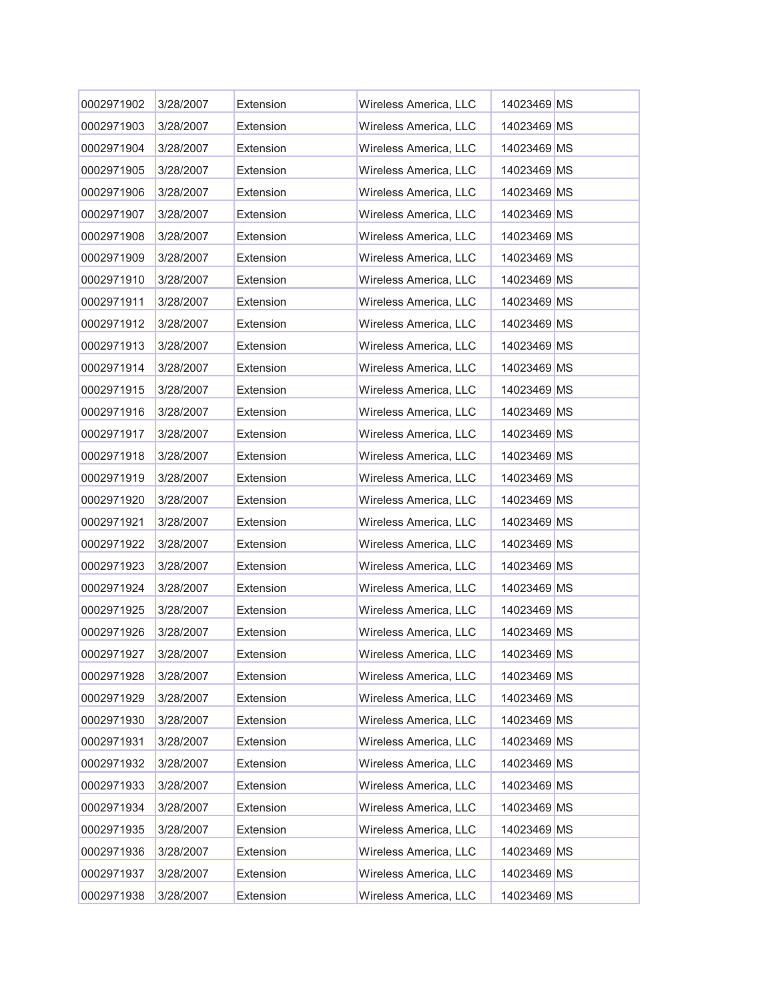| 0002971902 | 3/28/2007 | Extension | Wireless America, LLC | 14023469 MS |  |
|------------|-----------|-----------|-----------------------|-------------|--|
| 0002971903 | 3/28/2007 | Extension | Wireless America, LLC | 14023469 MS |  |
| 0002971904 | 3/28/2007 | Extension | Wireless America, LLC | 14023469 MS |  |
| 0002971905 | 3/28/2007 | Extension | Wireless America, LLC | 14023469 MS |  |
| 0002971906 | 3/28/2007 | Extension | Wireless America, LLC | 14023469 MS |  |
| 0002971907 | 3/28/2007 | Extension | Wireless America, LLC | 14023469 MS |  |
| 0002971908 | 3/28/2007 | Extension | Wireless America, LLC | 14023469 MS |  |
| 0002971909 | 3/28/2007 | Extension | Wireless America, LLC | 14023469 MS |  |
| 0002971910 | 3/28/2007 | Extension | Wireless America, LLC | 14023469 MS |  |
| 0002971911 | 3/28/2007 | Extension | Wireless America, LLC | 14023469 MS |  |
| 0002971912 | 3/28/2007 | Extension | Wireless America, LLC | 14023469 MS |  |
| 0002971913 | 3/28/2007 | Extension | Wireless America, LLC | 14023469 MS |  |
| 0002971914 | 3/28/2007 | Extension | Wireless America, LLC | 14023469 MS |  |
| 0002971915 | 3/28/2007 | Extension | Wireless America, LLC | 14023469 MS |  |
| 0002971916 | 3/28/2007 | Extension | Wireless America, LLC | 14023469 MS |  |
| 0002971917 | 3/28/2007 | Extension | Wireless America, LLC | 14023469 MS |  |
| 0002971918 | 3/28/2007 | Extension | Wireless America, LLC | 14023469 MS |  |
| 0002971919 | 3/28/2007 | Extension | Wireless America, LLC | 14023469 MS |  |
| 0002971920 | 3/28/2007 | Extension | Wireless America, LLC | 14023469 MS |  |
| 0002971921 | 3/28/2007 | Extension | Wireless America, LLC | 14023469 MS |  |
| 0002971922 | 3/28/2007 | Extension | Wireless America, LLC | 14023469 MS |  |
| 0002971923 | 3/28/2007 | Extension | Wireless America, LLC | 14023469 MS |  |
| 0002971924 | 3/28/2007 | Extension | Wireless America, LLC | 14023469 MS |  |
| 0002971925 | 3/28/2007 | Extension | Wireless America, LLC | 14023469 MS |  |
| 0002971926 | 3/28/2007 | Extension | Wireless America, LLC | 14023469 MS |  |
| 0002971927 | 3/28/2007 | Extension | Wireless America, LLC | 14023469 MS |  |
| 0002971928 | 3/28/2007 | Extension | Wireless America, LLC | 14023469 MS |  |
| 0002971929 | 3/28/2007 | Extension | Wireless America, LLC | 14023469 MS |  |
| 0002971930 | 3/28/2007 | Extension | Wireless America, LLC | 14023469 MS |  |
| 0002971931 | 3/28/2007 | Extension | Wireless America, LLC | 14023469 MS |  |
| 0002971932 | 3/28/2007 | Extension | Wireless America, LLC | 14023469 MS |  |
| 0002971933 | 3/28/2007 | Extension | Wireless America, LLC | 14023469 MS |  |
| 0002971934 | 3/28/2007 | Extension | Wireless America, LLC | 14023469 MS |  |
| 0002971935 | 3/28/2007 | Extension | Wireless America, LLC | 14023469 MS |  |
| 0002971936 | 3/28/2007 | Extension | Wireless America, LLC | 14023469 MS |  |
| 0002971937 | 3/28/2007 | Extension | Wireless America, LLC | 14023469 MS |  |
| 0002971938 | 3/28/2007 | Extension | Wireless America, LLC | 14023469 MS |  |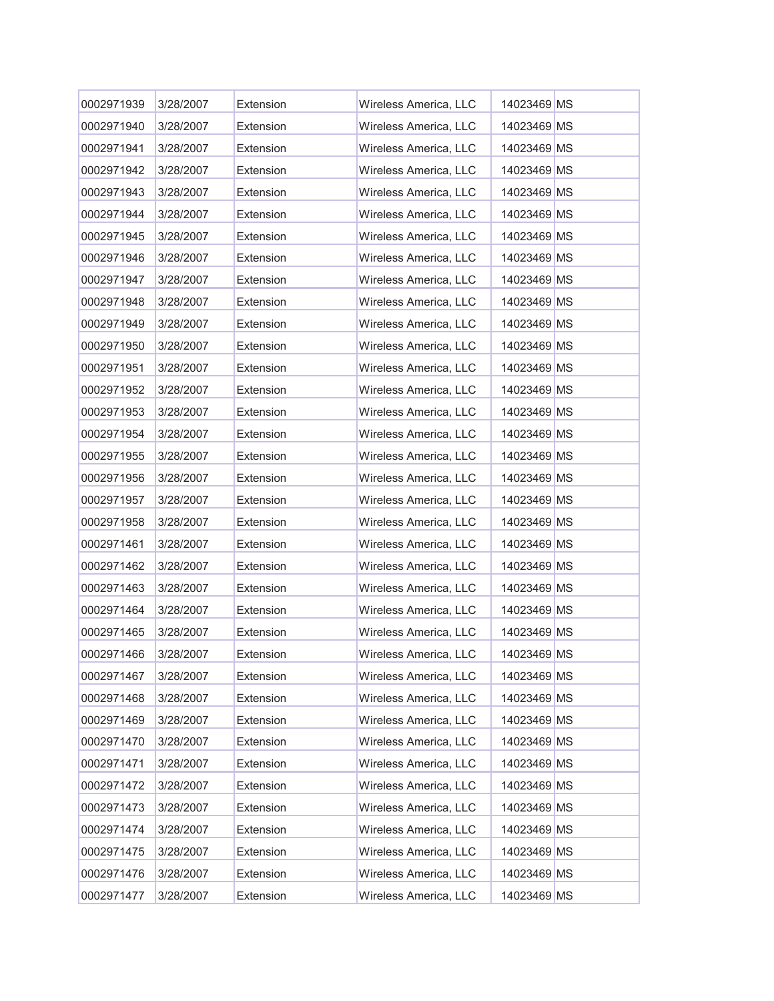| 0002971939 | 3/28/2007 | Extension | Wireless America, LLC | 14023469 MS |  |
|------------|-----------|-----------|-----------------------|-------------|--|
| 0002971940 | 3/28/2007 | Extension | Wireless America, LLC | 14023469 MS |  |
| 0002971941 | 3/28/2007 | Extension | Wireless America, LLC | 14023469 MS |  |
| 0002971942 | 3/28/2007 | Extension | Wireless America, LLC | 14023469 MS |  |
| 0002971943 | 3/28/2007 | Extension | Wireless America, LLC | 14023469 MS |  |
| 0002971944 | 3/28/2007 | Extension | Wireless America, LLC | 14023469 MS |  |
| 0002971945 | 3/28/2007 | Extension | Wireless America, LLC | 14023469 MS |  |
| 0002971946 | 3/28/2007 | Extension | Wireless America, LLC | 14023469 MS |  |
| 0002971947 | 3/28/2007 | Extension | Wireless America, LLC | 14023469 MS |  |
| 0002971948 | 3/28/2007 | Extension | Wireless America, LLC | 14023469 MS |  |
| 0002971949 | 3/28/2007 | Extension | Wireless America, LLC | 14023469 MS |  |
| 0002971950 | 3/28/2007 | Extension | Wireless America, LLC | 14023469 MS |  |
| 0002971951 | 3/28/2007 | Extension | Wireless America, LLC | 14023469 MS |  |
| 0002971952 | 3/28/2007 | Extension | Wireless America, LLC | 14023469 MS |  |
| 0002971953 | 3/28/2007 | Extension | Wireless America, LLC | 14023469 MS |  |
| 0002971954 | 3/28/2007 | Extension | Wireless America, LLC | 14023469 MS |  |
| 0002971955 | 3/28/2007 | Extension | Wireless America, LLC | 14023469 MS |  |
| 0002971956 | 3/28/2007 | Extension | Wireless America, LLC | 14023469 MS |  |
| 0002971957 | 3/28/2007 | Extension | Wireless America, LLC | 14023469 MS |  |
| 0002971958 | 3/28/2007 | Extension | Wireless America, LLC | 14023469 MS |  |
| 0002971461 | 3/28/2007 | Extension | Wireless America, LLC | 14023469 MS |  |
| 0002971462 | 3/28/2007 | Extension | Wireless America, LLC | 14023469 MS |  |
| 0002971463 | 3/28/2007 | Extension | Wireless America, LLC | 14023469 MS |  |
| 0002971464 | 3/28/2007 | Extension | Wireless America, LLC | 14023469 MS |  |
| 0002971465 | 3/28/2007 | Extension | Wireless America, LLC | 14023469 MS |  |
| 0002971466 | 3/28/2007 | Extension | Wireless America, LLC | 14023469 MS |  |
| 0002971467 | 3/28/2007 | Extension | Wireless America, LLC | 14023469 MS |  |
| 0002971468 | 3/28/2007 | Extension | Wireless America, LLC | 14023469 MS |  |
| 0002971469 | 3/28/2007 | Extension | Wireless America, LLC | 14023469 MS |  |
| 0002971470 | 3/28/2007 | Extension | Wireless America, LLC | 14023469 MS |  |
| 0002971471 | 3/28/2007 | Extension | Wireless America, LLC | 14023469 MS |  |
| 0002971472 | 3/28/2007 | Extension | Wireless America, LLC | 14023469 MS |  |
| 0002971473 | 3/28/2007 | Extension | Wireless America, LLC | 14023469 MS |  |
| 0002971474 | 3/28/2007 | Extension | Wireless America, LLC | 14023469 MS |  |
| 0002971475 | 3/28/2007 | Extension | Wireless America, LLC | 14023469 MS |  |
| 0002971476 | 3/28/2007 | Extension | Wireless America, LLC | 14023469 MS |  |
| 0002971477 | 3/28/2007 | Extension | Wireless America, LLC | 14023469 MS |  |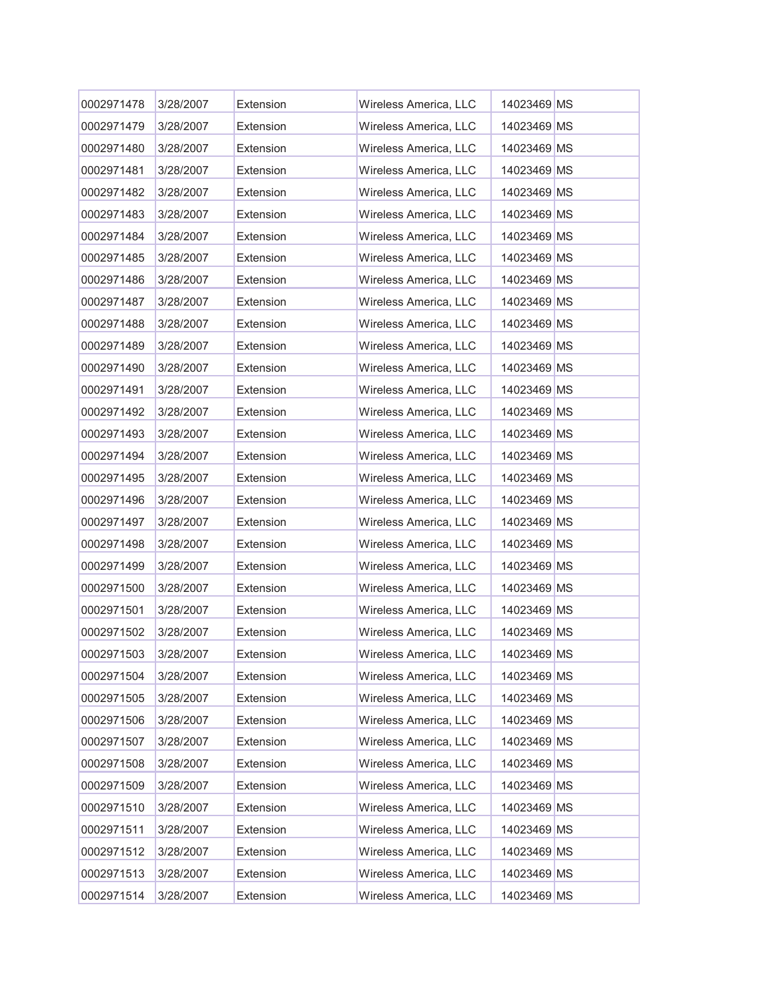| 0002971478 | 3/28/2007 | Extension | Wireless America, LLC | 14023469 MS |  |
|------------|-----------|-----------|-----------------------|-------------|--|
| 0002971479 | 3/28/2007 | Extension | Wireless America, LLC | 14023469 MS |  |
| 0002971480 | 3/28/2007 | Extension | Wireless America, LLC | 14023469 MS |  |
| 0002971481 | 3/28/2007 | Extension | Wireless America, LLC | 14023469 MS |  |
| 0002971482 | 3/28/2007 | Extension | Wireless America, LLC | 14023469 MS |  |
| 0002971483 | 3/28/2007 | Extension | Wireless America, LLC | 14023469 MS |  |
| 0002971484 | 3/28/2007 | Extension | Wireless America, LLC | 14023469 MS |  |
| 0002971485 | 3/28/2007 | Extension | Wireless America, LLC | 14023469 MS |  |
| 0002971486 | 3/28/2007 | Extension | Wireless America, LLC | 14023469 MS |  |
| 0002971487 | 3/28/2007 | Extension | Wireless America, LLC | 14023469 MS |  |
| 0002971488 | 3/28/2007 | Extension | Wireless America, LLC | 14023469 MS |  |
| 0002971489 | 3/28/2007 | Extension | Wireless America, LLC | 14023469 MS |  |
| 0002971490 | 3/28/2007 | Extension | Wireless America, LLC | 14023469 MS |  |
| 0002971491 | 3/28/2007 | Extension | Wireless America, LLC | 14023469 MS |  |
| 0002971492 | 3/28/2007 | Extension | Wireless America, LLC | 14023469 MS |  |
| 0002971493 | 3/28/2007 | Extension | Wireless America, LLC | 14023469 MS |  |
| 0002971494 | 3/28/2007 | Extension | Wireless America, LLC | 14023469 MS |  |
| 0002971495 | 3/28/2007 | Extension | Wireless America, LLC | 14023469 MS |  |
| 0002971496 | 3/28/2007 | Extension | Wireless America, LLC | 14023469 MS |  |
| 0002971497 | 3/28/2007 | Extension | Wireless America, LLC | 14023469 MS |  |
| 0002971498 | 3/28/2007 | Extension | Wireless America, LLC | 14023469 MS |  |
| 0002971499 | 3/28/2007 | Extension | Wireless America, LLC | 14023469 MS |  |
| 0002971500 | 3/28/2007 | Extension | Wireless America, LLC | 14023469 MS |  |
| 0002971501 | 3/28/2007 | Extension | Wireless America, LLC | 14023469 MS |  |
| 0002971502 | 3/28/2007 | Extension | Wireless America, LLC | 14023469 MS |  |
| 0002971503 | 3/28/2007 | Extension | Wireless America, LLC | 14023469 MS |  |
| 0002971504 | 3/28/2007 | Extension | Wireless America, LLC | 14023469 MS |  |
| 0002971505 | 3/28/2007 | Extension | Wireless America, LLC | 14023469 MS |  |
| 0002971506 | 3/28/2007 | Extension | Wireless America, LLC | 14023469 MS |  |
| 0002971507 | 3/28/2007 | Extension | Wireless America, LLC | 14023469 MS |  |
| 0002971508 | 3/28/2007 | Extension | Wireless America, LLC | 14023469 MS |  |
| 0002971509 | 3/28/2007 | Extension | Wireless America, LLC | 14023469 MS |  |
| 0002971510 | 3/28/2007 | Extension | Wireless America, LLC | 14023469 MS |  |
| 0002971511 | 3/28/2007 | Extension | Wireless America, LLC | 14023469 MS |  |
| 0002971512 | 3/28/2007 | Extension | Wireless America, LLC | 14023469 MS |  |
| 0002971513 | 3/28/2007 | Extension | Wireless America, LLC | 14023469 MS |  |
| 0002971514 | 3/28/2007 | Extension | Wireless America, LLC | 14023469 MS |  |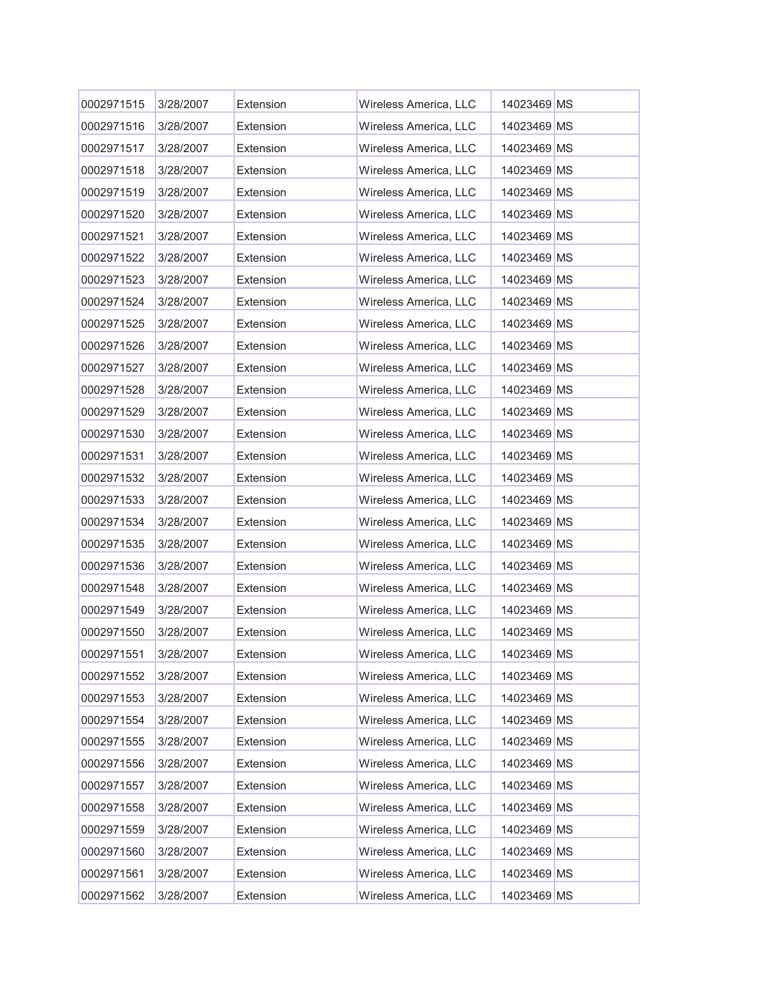| 0002971515 | 3/28/2007 | Extension | Wireless America, LLC | 14023469 MS |  |
|------------|-----------|-----------|-----------------------|-------------|--|
| 0002971516 | 3/28/2007 | Extension | Wireless America, LLC | 14023469 MS |  |
| 0002971517 | 3/28/2007 | Extension | Wireless America, LLC | 14023469 MS |  |
| 0002971518 | 3/28/2007 | Extension | Wireless America, LLC | 14023469 MS |  |
| 0002971519 | 3/28/2007 | Extension | Wireless America, LLC | 14023469 MS |  |
| 0002971520 | 3/28/2007 | Extension | Wireless America, LLC | 14023469 MS |  |
| 0002971521 | 3/28/2007 | Extension | Wireless America, LLC | 14023469 MS |  |
| 0002971522 | 3/28/2007 | Extension | Wireless America, LLC | 14023469 MS |  |
| 0002971523 | 3/28/2007 | Extension | Wireless America, LLC | 14023469 MS |  |
| 0002971524 | 3/28/2007 | Extension | Wireless America, LLC | 14023469 MS |  |
| 0002971525 | 3/28/2007 | Extension | Wireless America, LLC | 14023469 MS |  |
| 0002971526 | 3/28/2007 | Extension | Wireless America, LLC | 14023469 MS |  |
| 0002971527 | 3/28/2007 | Extension | Wireless America, LLC | 14023469 MS |  |
| 0002971528 | 3/28/2007 | Extension | Wireless America, LLC | 14023469 MS |  |
| 0002971529 | 3/28/2007 | Extension | Wireless America, LLC | 14023469 MS |  |
| 0002971530 | 3/28/2007 | Extension | Wireless America, LLC | 14023469 MS |  |
| 0002971531 | 3/28/2007 | Extension | Wireless America, LLC | 14023469 MS |  |
| 0002971532 | 3/28/2007 | Extension | Wireless America, LLC | 14023469 MS |  |
| 0002971533 | 3/28/2007 | Extension | Wireless America, LLC | 14023469 MS |  |
| 0002971534 | 3/28/2007 | Extension | Wireless America, LLC | 14023469 MS |  |
| 0002971535 | 3/28/2007 | Extension | Wireless America, LLC | 14023469 MS |  |
| 0002971536 | 3/28/2007 | Extension | Wireless America, LLC | 14023469 MS |  |
| 0002971548 | 3/28/2007 | Extension | Wireless America, LLC | 14023469 MS |  |
| 0002971549 | 3/28/2007 | Extension | Wireless America, LLC | 14023469 MS |  |
| 0002971550 | 3/28/2007 | Extension | Wireless America, LLC | 14023469 MS |  |
| 0002971551 | 3/28/2007 | Extension | Wireless America, LLC | 14023469 MS |  |
| 0002971552 | 3/28/2007 | Extension | Wireless America, LLC | 14023469 MS |  |
| 0002971553 | 3/28/2007 | Extension | Wireless America, LLC | 14023469 MS |  |
| 0002971554 | 3/28/2007 | Extension | Wireless America, LLC | 14023469 MS |  |
| 0002971555 | 3/28/2007 | Extension | Wireless America, LLC | 14023469 MS |  |
| 0002971556 | 3/28/2007 | Extension | Wireless America, LLC | 14023469 MS |  |
| 0002971557 | 3/28/2007 | Extension | Wireless America, LLC | 14023469 MS |  |
| 0002971558 | 3/28/2007 | Extension | Wireless America, LLC | 14023469 MS |  |
| 0002971559 | 3/28/2007 | Extension | Wireless America, LLC | 14023469 MS |  |
| 0002971560 | 3/28/2007 | Extension | Wireless America, LLC | 14023469 MS |  |
| 0002971561 | 3/28/2007 | Extension | Wireless America, LLC | 14023469 MS |  |
| 0002971562 | 3/28/2007 | Extension | Wireless America, LLC | 14023469 MS |  |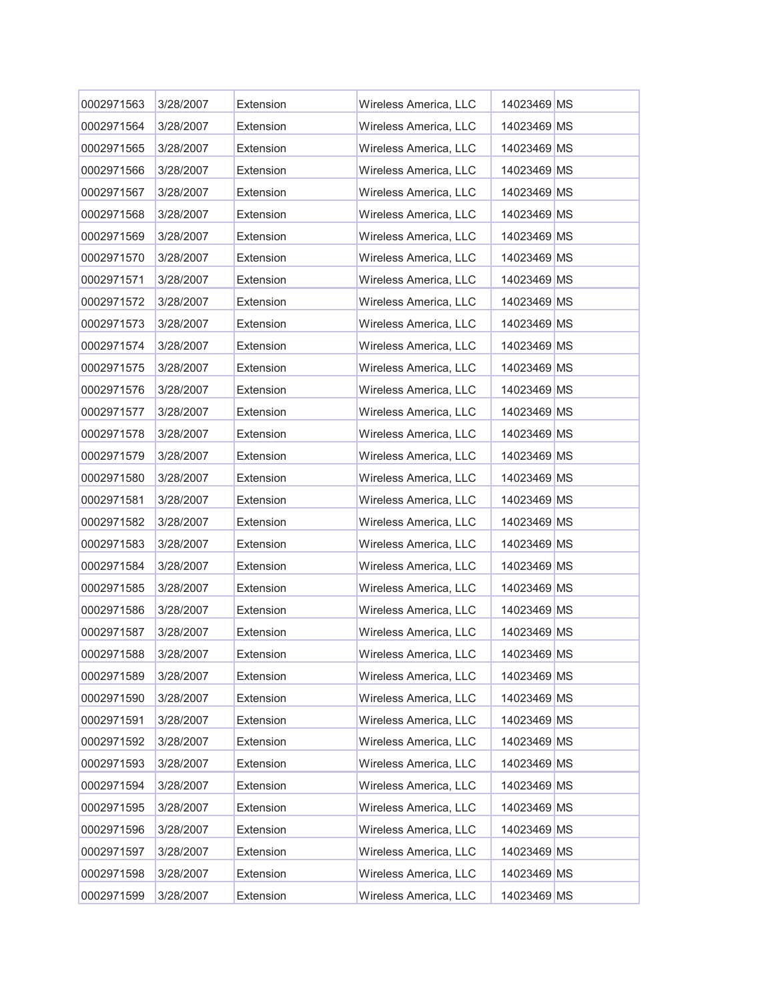| 0002971563 | 3/28/2007 | Extension | Wireless America, LLC | 14023469 MS |  |
|------------|-----------|-----------|-----------------------|-------------|--|
| 0002971564 | 3/28/2007 | Extension | Wireless America, LLC | 14023469 MS |  |
| 0002971565 | 3/28/2007 | Extension | Wireless America, LLC | 14023469 MS |  |
| 0002971566 | 3/28/2007 | Extension | Wireless America, LLC | 14023469 MS |  |
| 0002971567 | 3/28/2007 | Extension | Wireless America, LLC | 14023469 MS |  |
| 0002971568 | 3/28/2007 | Extension | Wireless America, LLC | 14023469 MS |  |
| 0002971569 | 3/28/2007 | Extension | Wireless America, LLC | 14023469 MS |  |
| 0002971570 | 3/28/2007 | Extension | Wireless America, LLC | 14023469 MS |  |
| 0002971571 | 3/28/2007 | Extension | Wireless America, LLC | 14023469 MS |  |
| 0002971572 | 3/28/2007 | Extension | Wireless America, LLC | 14023469 MS |  |
| 0002971573 | 3/28/2007 | Extension | Wireless America, LLC | 14023469 MS |  |
| 0002971574 | 3/28/2007 | Extension | Wireless America, LLC | 14023469 MS |  |
| 0002971575 | 3/28/2007 | Extension | Wireless America, LLC | 14023469 MS |  |
| 0002971576 | 3/28/2007 | Extension | Wireless America, LLC | 14023469 MS |  |
| 0002971577 | 3/28/2007 | Extension | Wireless America, LLC | 14023469 MS |  |
| 0002971578 | 3/28/2007 | Extension | Wireless America, LLC | 14023469 MS |  |
| 0002971579 | 3/28/2007 | Extension | Wireless America, LLC | 14023469 MS |  |
| 0002971580 | 3/28/2007 | Extension | Wireless America, LLC | 14023469 MS |  |
| 0002971581 | 3/28/2007 | Extension | Wireless America, LLC | 14023469 MS |  |
| 0002971582 | 3/28/2007 | Extension | Wireless America, LLC | 14023469 MS |  |
| 0002971583 | 3/28/2007 | Extension | Wireless America, LLC | 14023469 MS |  |
| 0002971584 | 3/28/2007 | Extension | Wireless America, LLC | 14023469 MS |  |
| 0002971585 | 3/28/2007 | Extension | Wireless America, LLC | 14023469 MS |  |
| 0002971586 | 3/28/2007 | Extension | Wireless America, LLC | 14023469 MS |  |
| 0002971587 | 3/28/2007 | Extension | Wireless America, LLC | 14023469 MS |  |
| 0002971588 | 3/28/2007 | Extension | Wireless America, LLC | 14023469 MS |  |
| 0002971589 | 3/28/2007 | Extension | Wireless America, LLC | 14023469 MS |  |
| 0002971590 | 3/28/2007 | Extension | Wireless America, LLC | 14023469 MS |  |
| 0002971591 | 3/28/2007 | Extension | Wireless America, LLC | 14023469 MS |  |
| 0002971592 | 3/28/2007 | Extension | Wireless America, LLC | 14023469 MS |  |
| 0002971593 | 3/28/2007 | Extension | Wireless America, LLC | 14023469 MS |  |
| 0002971594 | 3/28/2007 | Extension | Wireless America, LLC | 14023469 MS |  |
| 0002971595 | 3/28/2007 | Extension | Wireless America, LLC | 14023469 MS |  |
| 0002971596 | 3/28/2007 | Extension | Wireless America, LLC | 14023469 MS |  |
| 0002971597 | 3/28/2007 | Extension | Wireless America, LLC | 14023469 MS |  |
| 0002971598 | 3/28/2007 | Extension | Wireless America, LLC | 14023469 MS |  |
| 0002971599 | 3/28/2007 | Extension | Wireless America, LLC | 14023469 MS |  |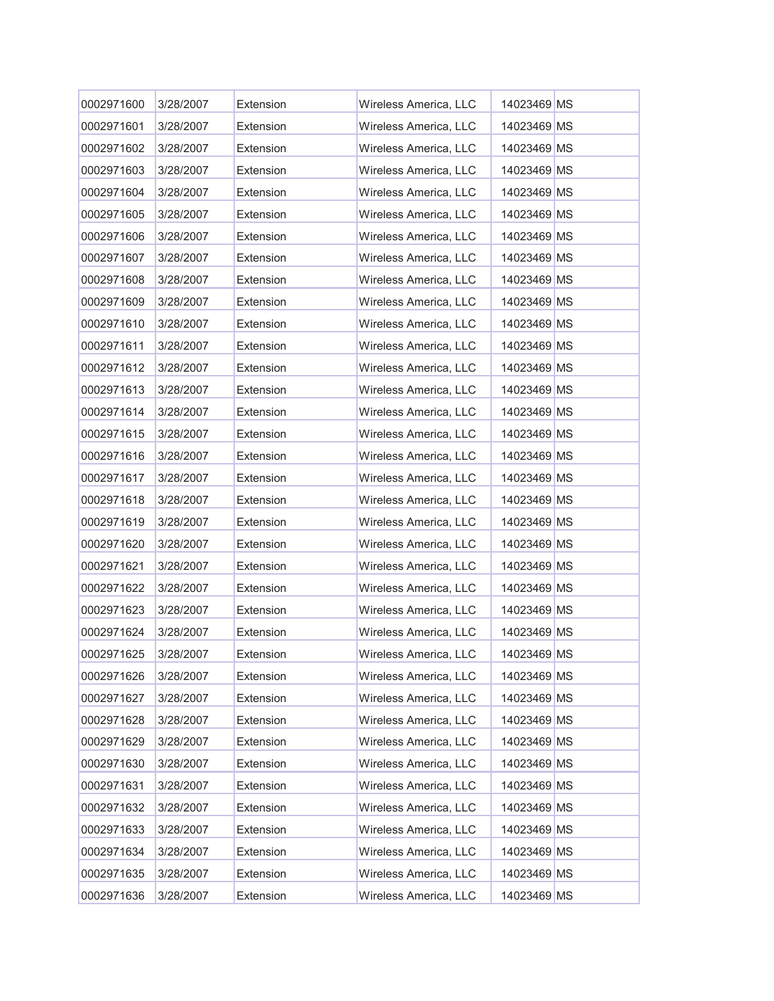| 0002971600 | 3/28/2007 | Extension | Wireless America, LLC | 14023469 MS |  |
|------------|-----------|-----------|-----------------------|-------------|--|
| 0002971601 | 3/28/2007 | Extension | Wireless America, LLC | 14023469 MS |  |
| 0002971602 | 3/28/2007 | Extension | Wireless America, LLC | 14023469 MS |  |
| 0002971603 | 3/28/2007 | Extension | Wireless America, LLC | 14023469 MS |  |
| 0002971604 | 3/28/2007 | Extension | Wireless America, LLC | 14023469 MS |  |
| 0002971605 | 3/28/2007 | Extension | Wireless America, LLC | 14023469 MS |  |
| 0002971606 | 3/28/2007 | Extension | Wireless America, LLC | 14023469 MS |  |
| 0002971607 | 3/28/2007 | Extension | Wireless America, LLC | 14023469 MS |  |
| 0002971608 | 3/28/2007 | Extension | Wireless America, LLC | 14023469 MS |  |
| 0002971609 | 3/28/2007 | Extension | Wireless America, LLC | 14023469 MS |  |
| 0002971610 | 3/28/2007 | Extension | Wireless America, LLC | 14023469 MS |  |
| 0002971611 | 3/28/2007 | Extension | Wireless America, LLC | 14023469 MS |  |
| 0002971612 | 3/28/2007 | Extension | Wireless America, LLC | 14023469 MS |  |
| 0002971613 | 3/28/2007 | Extension | Wireless America, LLC | 14023469 MS |  |
| 0002971614 | 3/28/2007 | Extension | Wireless America, LLC | 14023469 MS |  |
| 0002971615 | 3/28/2007 | Extension | Wireless America, LLC | 14023469 MS |  |
| 0002971616 | 3/28/2007 | Extension | Wireless America, LLC | 14023469 MS |  |
| 0002971617 | 3/28/2007 | Extension | Wireless America, LLC | 14023469 MS |  |
| 0002971618 | 3/28/2007 | Extension | Wireless America, LLC | 14023469 MS |  |
| 0002971619 | 3/28/2007 | Extension | Wireless America, LLC | 14023469 MS |  |
| 0002971620 | 3/28/2007 | Extension | Wireless America, LLC | 14023469 MS |  |
| 0002971621 | 3/28/2007 | Extension | Wireless America, LLC | 14023469 MS |  |
| 0002971622 | 3/28/2007 | Extension | Wireless America, LLC | 14023469 MS |  |
| 0002971623 | 3/28/2007 | Extension | Wireless America, LLC | 14023469 MS |  |
| 0002971624 | 3/28/2007 | Extension | Wireless America, LLC | 14023469 MS |  |
| 0002971625 | 3/28/2007 | Extension | Wireless America, LLC | 14023469 MS |  |
| 0002971626 | 3/28/2007 | Extension | Wireless America, LLC | 14023469 MS |  |
| 0002971627 | 3/28/2007 | Extension | Wireless America, LLC | 14023469 MS |  |
| 0002971628 | 3/28/2007 | Extension | Wireless America, LLC | 14023469 MS |  |
| 0002971629 | 3/28/2007 | Extension | Wireless America, LLC | 14023469 MS |  |
| 0002971630 | 3/28/2007 | Extension | Wireless America, LLC | 14023469 MS |  |
| 0002971631 | 3/28/2007 | Extension | Wireless America, LLC | 14023469 MS |  |
| 0002971632 | 3/28/2007 | Extension | Wireless America, LLC | 14023469 MS |  |
| 0002971633 | 3/28/2007 | Extension | Wireless America, LLC | 14023469 MS |  |
| 0002971634 | 3/28/2007 | Extension | Wireless America, LLC | 14023469 MS |  |
| 0002971635 | 3/28/2007 | Extension | Wireless America, LLC | 14023469 MS |  |
| 0002971636 | 3/28/2007 | Extension | Wireless America, LLC | 14023469 MS |  |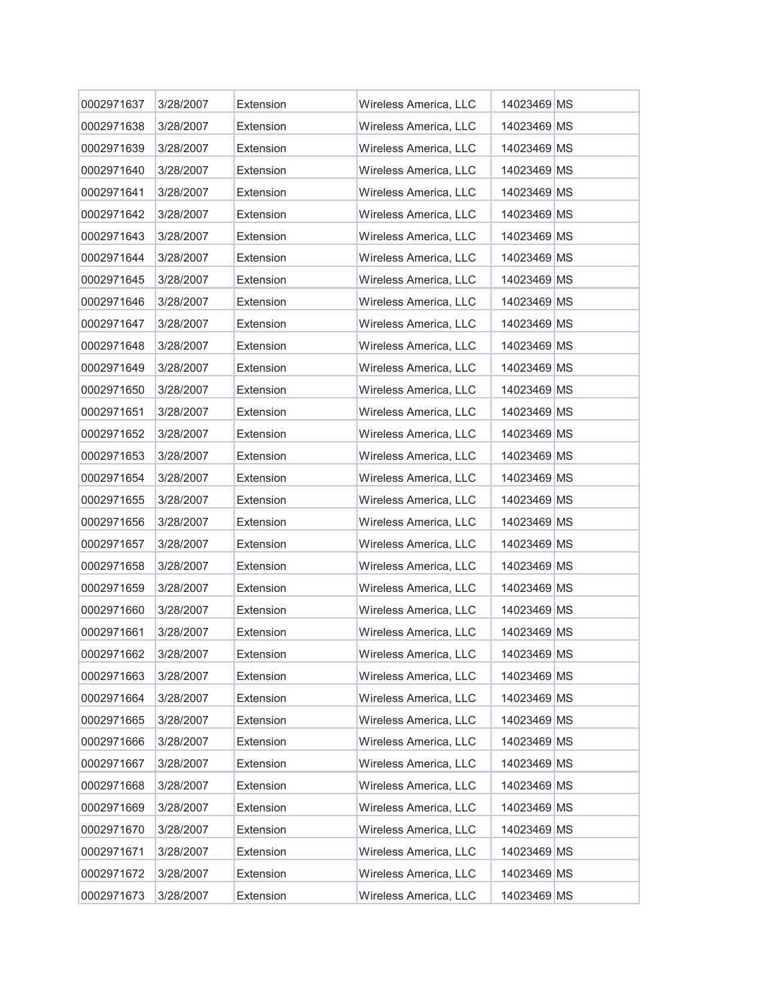| 0002971637 | 3/28/2007 | Extension | Wireless America, LLC | 14023469 MS |  |
|------------|-----------|-----------|-----------------------|-------------|--|
| 0002971638 | 3/28/2007 | Extension | Wireless America, LLC | 14023469 MS |  |
| 0002971639 | 3/28/2007 | Extension | Wireless America, LLC | 14023469 MS |  |
| 0002971640 | 3/28/2007 | Extension | Wireless America, LLC | 14023469 MS |  |
| 0002971641 | 3/28/2007 | Extension | Wireless America, LLC | 14023469 MS |  |
| 0002971642 | 3/28/2007 | Extension | Wireless America, LLC | 14023469 MS |  |
| 0002971643 | 3/28/2007 | Extension | Wireless America, LLC | 14023469 MS |  |
| 0002971644 | 3/28/2007 | Extension | Wireless America, LLC | 14023469 MS |  |
| 0002971645 | 3/28/2007 | Extension | Wireless America, LLC | 14023469 MS |  |
| 0002971646 | 3/28/2007 | Extension | Wireless America, LLC | 14023469 MS |  |
| 0002971647 | 3/28/2007 | Extension | Wireless America, LLC | 14023469 MS |  |
| 0002971648 | 3/28/2007 | Extension | Wireless America, LLC | 14023469 MS |  |
| 0002971649 | 3/28/2007 | Extension | Wireless America, LLC | 14023469 MS |  |
| 0002971650 | 3/28/2007 | Extension | Wireless America, LLC | 14023469 MS |  |
| 0002971651 | 3/28/2007 | Extension | Wireless America, LLC | 14023469 MS |  |
| 0002971652 | 3/28/2007 | Extension | Wireless America, LLC | 14023469 MS |  |
| 0002971653 | 3/28/2007 | Extension | Wireless America, LLC | 14023469 MS |  |
| 0002971654 | 3/28/2007 | Extension | Wireless America, LLC | 14023469 MS |  |
| 0002971655 | 3/28/2007 | Extension | Wireless America, LLC | 14023469 MS |  |
| 0002971656 | 3/28/2007 | Extension | Wireless America, LLC | 14023469 MS |  |
| 0002971657 | 3/28/2007 | Extension | Wireless America, LLC | 14023469 MS |  |
| 0002971658 | 3/28/2007 | Extension | Wireless America, LLC | 14023469 MS |  |
| 0002971659 | 3/28/2007 | Extension | Wireless America, LLC | 14023469 MS |  |
| 0002971660 | 3/28/2007 | Extension | Wireless America, LLC | 14023469 MS |  |
| 0002971661 | 3/28/2007 | Extension | Wireless America, LLC | 14023469 MS |  |
| 0002971662 | 3/28/2007 | Extension | Wireless America, LLC | 14023469 MS |  |
| 0002971663 | 3/28/2007 | Extension | Wireless America, LLC | 14023469 MS |  |
| 0002971664 | 3/28/2007 | Extension | Wireless America, LLC | 14023469 MS |  |
| 0002971665 | 3/28/2007 | Extension | Wireless America, LLC | 14023469 MS |  |
| 0002971666 | 3/28/2007 | Extension | Wireless America, LLC | 14023469 MS |  |
| 0002971667 | 3/28/2007 | Extension | Wireless America, LLC | 14023469 MS |  |
| 0002971668 | 3/28/2007 | Extension | Wireless America, LLC | 14023469 MS |  |
| 0002971669 | 3/28/2007 | Extension | Wireless America, LLC | 14023469 MS |  |
| 0002971670 | 3/28/2007 | Extension | Wireless America, LLC | 14023469 MS |  |
| 0002971671 | 3/28/2007 | Extension | Wireless America, LLC | 14023469 MS |  |
| 0002971672 | 3/28/2007 | Extension | Wireless America, LLC | 14023469 MS |  |
| 0002971673 | 3/28/2007 | Extension | Wireless America, LLC | 14023469 MS |  |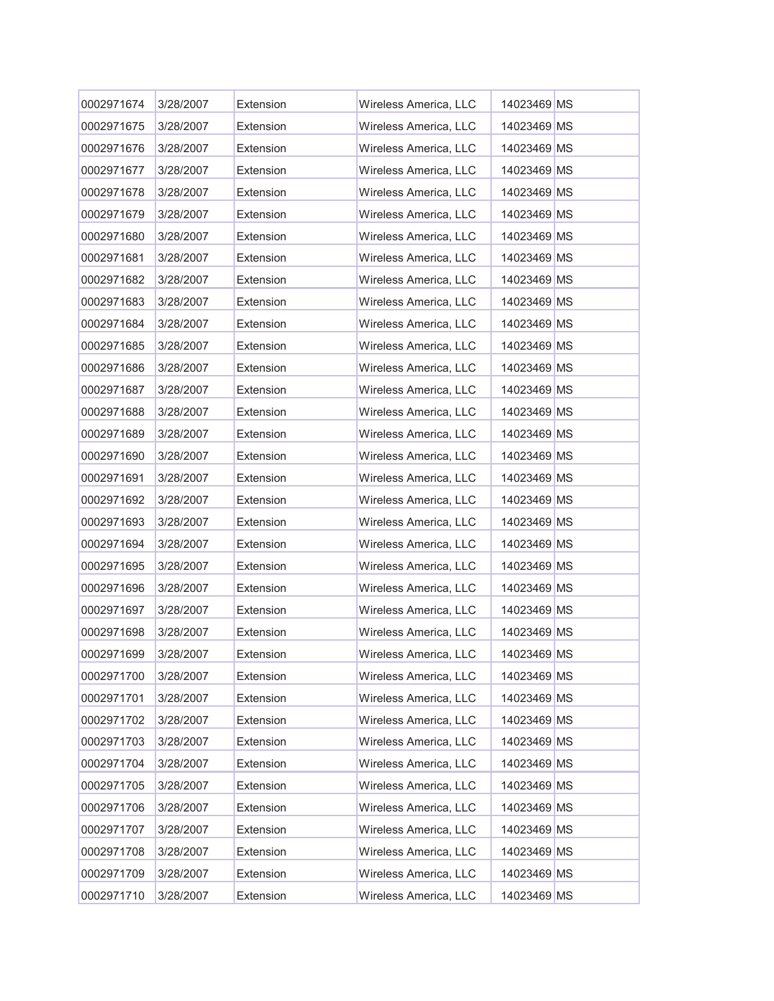| 0002971674 | 3/28/2007 | Extension | Wireless America, LLC | 14023469 MS |  |
|------------|-----------|-----------|-----------------------|-------------|--|
| 0002971675 | 3/28/2007 | Extension | Wireless America, LLC | 14023469 MS |  |
| 0002971676 | 3/28/2007 | Extension | Wireless America, LLC | 14023469 MS |  |
| 0002971677 | 3/28/2007 | Extension | Wireless America, LLC | 14023469 MS |  |
| 0002971678 | 3/28/2007 | Extension | Wireless America, LLC | 14023469 MS |  |
| 0002971679 | 3/28/2007 | Extension | Wireless America, LLC | 14023469 MS |  |
| 0002971680 | 3/28/2007 | Extension | Wireless America, LLC | 14023469 MS |  |
| 0002971681 | 3/28/2007 | Extension | Wireless America, LLC | 14023469 MS |  |
| 0002971682 | 3/28/2007 | Extension | Wireless America, LLC | 14023469 MS |  |
| 0002971683 | 3/28/2007 | Extension | Wireless America, LLC | 14023469 MS |  |
| 0002971684 | 3/28/2007 | Extension | Wireless America, LLC | 14023469 MS |  |
| 0002971685 | 3/28/2007 | Extension | Wireless America, LLC | 14023469 MS |  |
| 0002971686 | 3/28/2007 | Extension | Wireless America, LLC | 14023469 MS |  |
| 0002971687 | 3/28/2007 | Extension | Wireless America, LLC | 14023469 MS |  |
| 0002971688 | 3/28/2007 | Extension | Wireless America, LLC | 14023469 MS |  |
| 0002971689 | 3/28/2007 | Extension | Wireless America, LLC | 14023469 MS |  |
| 0002971690 | 3/28/2007 | Extension | Wireless America, LLC | 14023469 MS |  |
| 0002971691 | 3/28/2007 | Extension | Wireless America, LLC | 14023469 MS |  |
| 0002971692 | 3/28/2007 | Extension | Wireless America, LLC | 14023469 MS |  |
| 0002971693 | 3/28/2007 | Extension | Wireless America, LLC | 14023469 MS |  |
| 0002971694 | 3/28/2007 | Extension | Wireless America, LLC | 14023469 MS |  |
| 0002971695 | 3/28/2007 | Extension | Wireless America, LLC | 14023469 MS |  |
| 0002971696 | 3/28/2007 | Extension | Wireless America, LLC | 14023469 MS |  |
| 0002971697 | 3/28/2007 | Extension | Wireless America, LLC | 14023469 MS |  |
| 0002971698 | 3/28/2007 | Extension | Wireless America, LLC | 14023469 MS |  |
| 0002971699 | 3/28/2007 | Extension | Wireless America, LLC | 14023469 MS |  |
| 0002971700 | 3/28/2007 | Extension | Wireless America, LLC | 14023469 MS |  |
| 0002971701 | 3/28/2007 | Extension | Wireless America, LLC | 14023469 MS |  |
| 0002971702 | 3/28/2007 | Extension | Wireless America, LLC | 14023469 MS |  |
| 0002971703 | 3/28/2007 | Extension | Wireless America, LLC | 14023469 MS |  |
| 0002971704 | 3/28/2007 | Extension | Wireless America, LLC | 14023469 MS |  |
| 0002971705 | 3/28/2007 | Extension | Wireless America, LLC | 14023469 MS |  |
| 0002971706 | 3/28/2007 | Extension | Wireless America, LLC | 14023469 MS |  |
| 0002971707 | 3/28/2007 | Extension | Wireless America, LLC | 14023469 MS |  |
| 0002971708 | 3/28/2007 | Extension | Wireless America, LLC | 14023469 MS |  |
| 0002971709 | 3/28/2007 | Extension | Wireless America, LLC | 14023469 MS |  |
| 0002971710 | 3/28/2007 | Extension | Wireless America, LLC | 14023469 MS |  |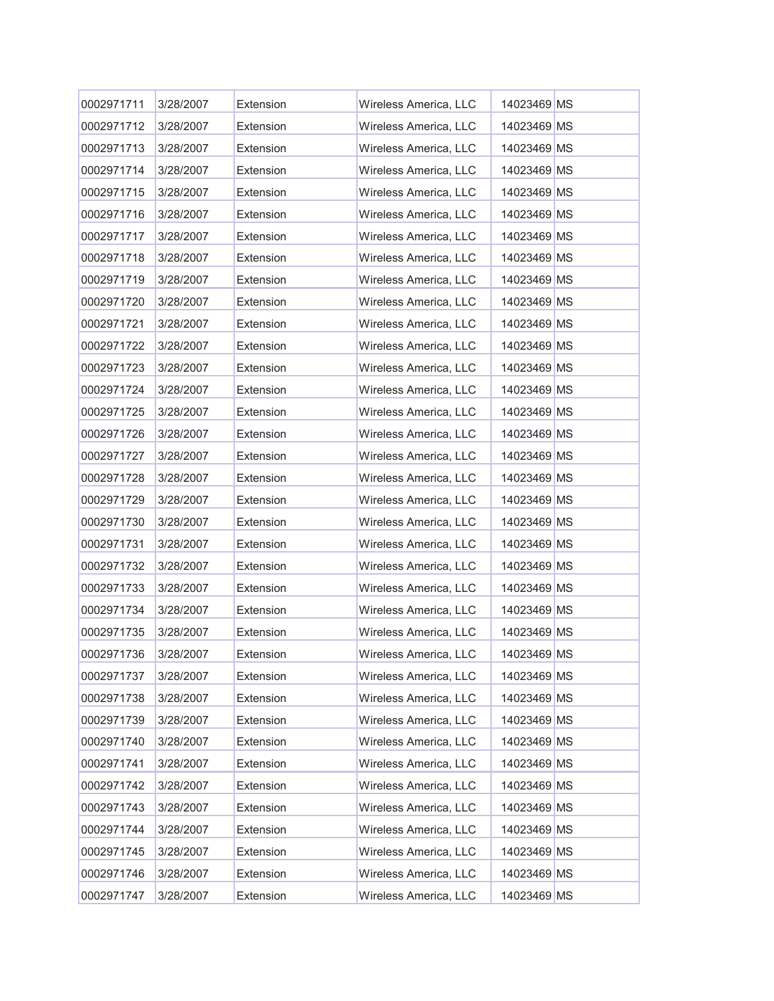| 0002971711 | 3/28/2007 | Extension | Wireless America, LLC | 14023469 MS |  |
|------------|-----------|-----------|-----------------------|-------------|--|
| 0002971712 | 3/28/2007 | Extension | Wireless America, LLC | 14023469 MS |  |
| 0002971713 | 3/28/2007 | Extension | Wireless America, LLC | 14023469 MS |  |
| 0002971714 | 3/28/2007 | Extension | Wireless America, LLC | 14023469 MS |  |
| 0002971715 | 3/28/2007 | Extension | Wireless America, LLC | 14023469 MS |  |
| 0002971716 | 3/28/2007 | Extension | Wireless America, LLC | 14023469 MS |  |
| 0002971717 | 3/28/2007 | Extension | Wireless America, LLC | 14023469 MS |  |
| 0002971718 | 3/28/2007 | Extension | Wireless America, LLC | 14023469 MS |  |
| 0002971719 | 3/28/2007 | Extension | Wireless America, LLC | 14023469 MS |  |
| 0002971720 | 3/28/2007 | Extension | Wireless America, LLC | 14023469 MS |  |
| 0002971721 | 3/28/2007 | Extension | Wireless America, LLC | 14023469 MS |  |
| 0002971722 | 3/28/2007 | Extension | Wireless America, LLC | 14023469 MS |  |
| 0002971723 | 3/28/2007 | Extension | Wireless America, LLC | 14023469 MS |  |
| 0002971724 | 3/28/2007 | Extension | Wireless America, LLC | 14023469 MS |  |
| 0002971725 | 3/28/2007 | Extension | Wireless America, LLC | 14023469 MS |  |
| 0002971726 | 3/28/2007 | Extension | Wireless America, LLC | 14023469 MS |  |
| 0002971727 | 3/28/2007 | Extension | Wireless America, LLC | 14023469 MS |  |
| 0002971728 | 3/28/2007 | Extension | Wireless America, LLC | 14023469 MS |  |
| 0002971729 | 3/28/2007 | Extension | Wireless America, LLC | 14023469 MS |  |
| 0002971730 | 3/28/2007 | Extension | Wireless America, LLC | 14023469 MS |  |
| 0002971731 | 3/28/2007 | Extension | Wireless America, LLC | 14023469 MS |  |
| 0002971732 | 3/28/2007 | Extension | Wireless America, LLC | 14023469 MS |  |
| 0002971733 | 3/28/2007 | Extension | Wireless America, LLC | 14023469 MS |  |
| 0002971734 | 3/28/2007 | Extension | Wireless America, LLC | 14023469 MS |  |
| 0002971735 | 3/28/2007 | Extension | Wireless America, LLC | 14023469 MS |  |
| 0002971736 | 3/28/2007 | Extension | Wireless America, LLC | 14023469 MS |  |
| 0002971737 | 3/28/2007 | Extension | Wireless America, LLC | 14023469 MS |  |
| 0002971738 | 3/28/2007 | Extension | Wireless America, LLC | 14023469 MS |  |
| 0002971739 | 3/28/2007 | Extension | Wireless America, LLC | 14023469 MS |  |
| 0002971740 | 3/28/2007 | Extension | Wireless America, LLC | 14023469 MS |  |
| 0002971741 | 3/28/2007 | Extension | Wireless America, LLC | 14023469 MS |  |
| 0002971742 | 3/28/2007 | Extension | Wireless America, LLC | 14023469 MS |  |
| 0002971743 | 3/28/2007 | Extension | Wireless America, LLC | 14023469 MS |  |
| 0002971744 | 3/28/2007 | Extension | Wireless America, LLC | 14023469 MS |  |
| 0002971745 | 3/28/2007 | Extension | Wireless America, LLC | 14023469 MS |  |
| 0002971746 | 3/28/2007 | Extension | Wireless America, LLC | 14023469 MS |  |
| 0002971747 | 3/28/2007 | Extension | Wireless America, LLC | 14023469 MS |  |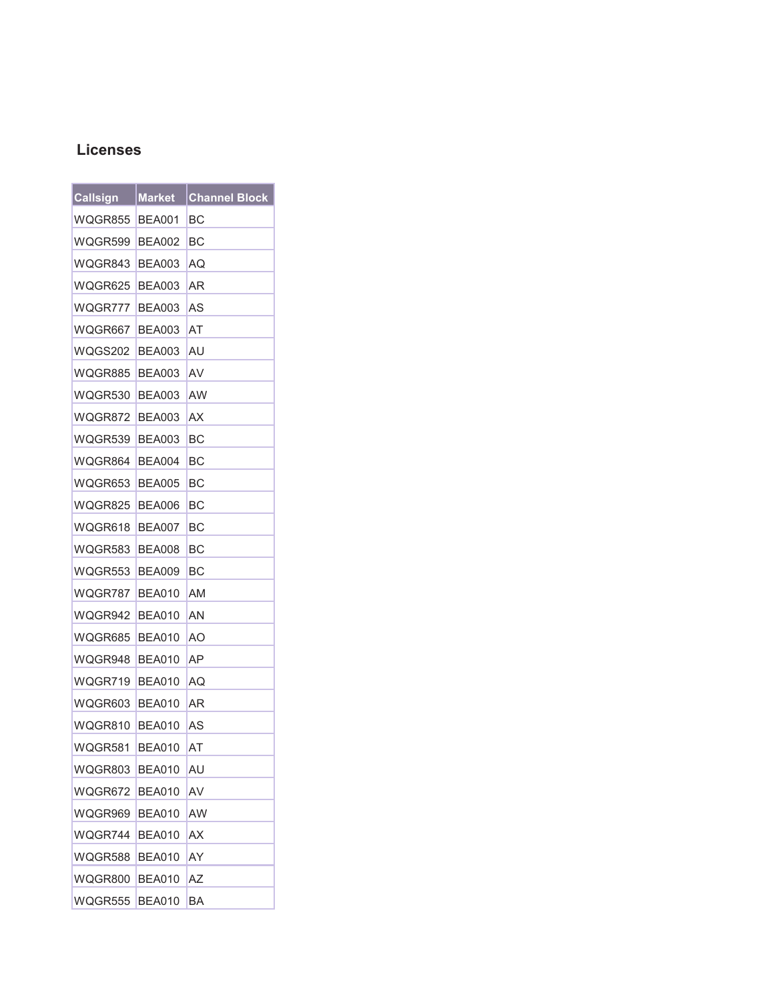## **Licenses**

| <b>Callsign</b> | <b>Market</b> | <b>Channel Block</b> |
|-----------------|---------------|----------------------|
| WQGR855         | BEA001        | BС                   |
| WQGR599         | BEA002        | BС                   |
| WQGR843         | <b>BEA003</b> | AQ                   |
| WQGR625         | BEA003        | AR                   |
| WQGR777         | <b>BEA003</b> | AS                   |
| WQGR667         | BEA003        | AT                   |
| WQGS202         | BEA003        | AU                   |
| WQGR885         | <b>BEA003</b> | AV                   |
| WQGR530         | BEA003        | AW                   |
| WQGR872         | <b>BEA003</b> | АX                   |
| WQGR539         | BEA003        | BС                   |
| WQGR864         | BEA004        | BС                   |
| WQGR653         | BEA005        | BС                   |
| WQGR825         | BEA006        | BС                   |
| WQGR618         | BEA007        | BС                   |
| WQGR583         | BEA008        | ВC                   |
| WQGR553         | BEA009        | BС                   |
| WQGR787         | BEA010        | AM                   |
| WQGR942         | <b>BEA010</b> | AN                   |
| WQGR685         | BEA010        | ΑO                   |
| WQGR948         | BEA010        | ΑP                   |
| WQGR719         | BEA010        | AQ                   |
| WQGR603         | <b>BEA010</b> | ΑR                   |
| WQGR810         | <b>BEA010</b> | AS                   |
| WQGR581         | BEA010        | AT                   |
| WQGR803         | <b>BEA010</b> | AU                   |
| WQGR672         | <b>BEA010</b> | AV                   |
| WQGR969         | <b>BEA010</b> | AW                   |
| WQGR744         | <b>BEA010</b> | AX                   |
| WQGR588         | <b>BEA010</b> | AY                   |
| WQGR800         | <b>BEA010</b> | ΑZ                   |
| WQGR555         | <b>BEA010</b> | BA                   |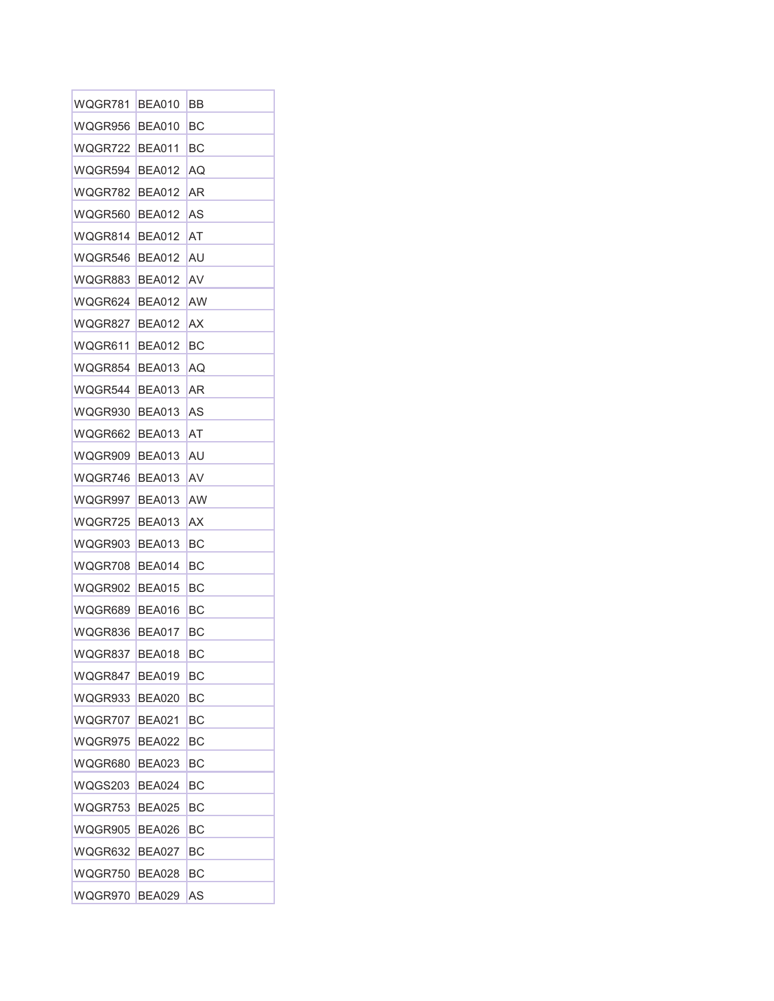| WQGR781 | BEA010        | BB |
|---------|---------------|----|
| WQGR956 | BEA010        | ВC |
| WQGR722 | BEA011        | ВC |
| WQGR594 | BEA012        | AQ |
| WQGR782 | <b>BEA012</b> | ΑR |
| WQGR560 | BEA012        | AS |
| WQGR814 | <b>BEA012</b> | AT |
| WQGR546 | <b>BEA012</b> | AU |
| WQGR883 | <b>BEA012</b> | AV |
| WQGR624 | <b>BEA012</b> | AW |
| WQGR827 | <b>BEA012</b> | ΑX |
| WQGR611 | <b>BEA012</b> | BС |
| WQGR854 | BEA013        | AQ |
| WQGR544 | BEA013        | AR |
| WQGR930 | <b>BEA013</b> | AS |
| WQGR662 | <b>BEA013</b> | AT |
| WQGR909 | <b>BEA013</b> | AU |
| WQGR746 | BEA013        | AV |
| WQGR997 | BEA013        | AW |
| WQGR725 | BEA013        | ΑX |
| WQGR903 | BEA013        | ВC |
| WQGR708 | <b>BEA014</b> | BС |
| WQGR902 | BEA015        | ВC |
| WQGR689 | BEA016        | BС |
| WQGR836 | BEA017        | BС |
| WQGR837 | <b>BEA018</b> | ВC |
| WQGR847 | <b>BEA019</b> | BС |
| WQGR933 | BEA020        | BС |
| WQGR707 | BEA021        | BС |
| WQGR975 | <b>BEA022</b> | ВC |
| WQGR680 | BEA023        | ВC |
| WQGS203 | <b>BEA024</b> | BС |
| WQGR753 | BEA025        | BС |
| WQGR905 | <b>BEA026</b> | BС |
| WQGR632 | BEA027        | BС |
| WQGR750 | BEA028        | BС |
| WQGR970 | <b>BEA029</b> | AS |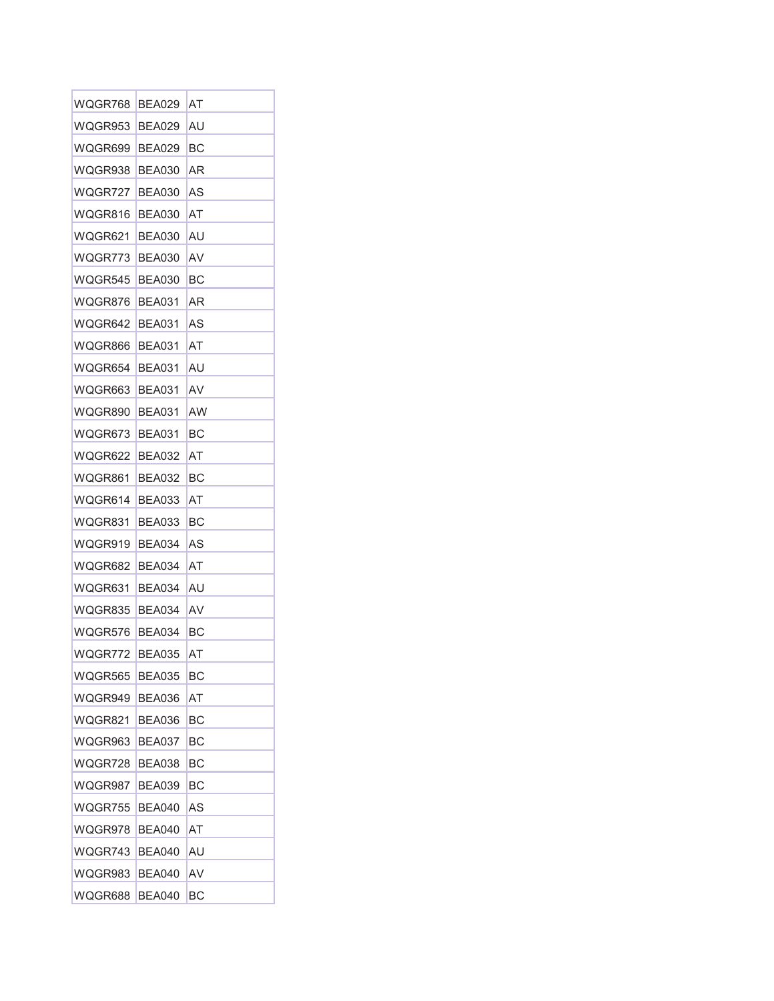| WQGR768 | BEA029        | AT |
|---------|---------------|----|
| WQGR953 | BEA029        | AU |
| WQGR699 | <b>BEA029</b> | BС |
| WQGR938 | BEA030        | AR |
| WQGR727 | BEA030        | AS |
| WQGR816 | BEA030        | AT |
| WQGR621 | <b>BEA030</b> | AU |
| WQGR773 | <b>BEA030</b> | AV |
| WQGR545 | BEA030        | BС |
| WQGR876 | <b>BEA031</b> | AR |
| WQGR642 | <b>BEA031</b> | AS |
| WQGR866 | <b>BEA031</b> | AT |
| WQGR654 | BEA031        | AU |
| WQGR663 | <b>BEA031</b> | AV |
| WQGR890 | BEA031        | AW |
| WQGR673 | <b>BEA031</b> | BС |
| WQGR622 | <b>BEA032</b> | AT |
| WQGR861 | <b>BEA032</b> | BС |
| WQGR614 | <b>BEA033</b> | AT |
| WQGR831 | BEA033        | BС |
| WQGR919 | BEA034        | AS |
| WQGR682 | BEA034        | AT |
| WQGR631 | BEA034        | AU |
| WQGR835 | BEA034        | AV |
| WQGR576 | BEA034        | ВC |
| WQGR772 | <b>BEA035</b> | AT |
| WQGR565 | <b>BEA035</b> | BС |
| WQGR949 | BEA036        | AT |
| WQGR821 | <b>BEA036</b> | ВC |
| WQGR963 | BEA037        | ВC |
| WQGR728 | BEA038        | ВC |
| WQGR987 | <b>BEA039</b> | BС |
| WQGR755 | <b>BEA040</b> | AS |
| WQGR978 | <b>BEA040</b> | AT |
| WQGR743 | <b>BEA040</b> | AU |
| WQGR983 | <b>BEA040</b> | AV |
| WQGR688 | <b>BEA040</b> | BC |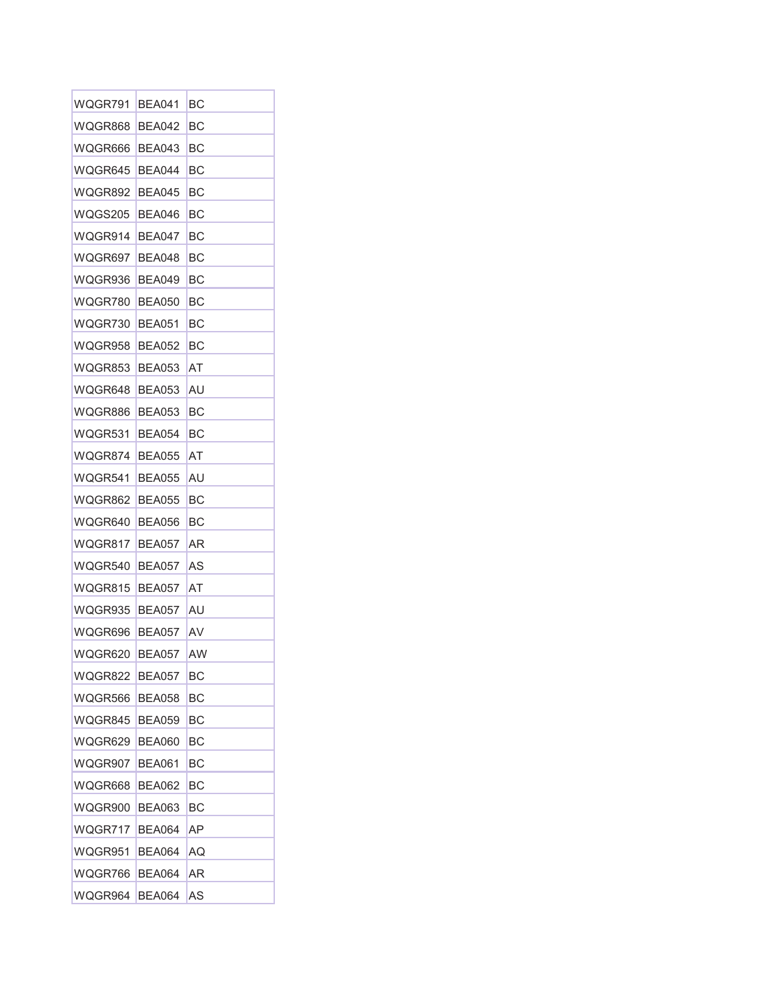| WQGR791 | <b>BEA041</b> | BС |
|---------|---------------|----|
| WQGR868 | <b>BEA042</b> | BС |
| WQGR666 | BEA043        | ВC |
| WQGR645 | BEA044        | BС |
| WQGR892 | BEA045        | BС |
| WQGS205 | BEA046        | BС |
| WQGR914 | <b>BEA047</b> | BС |
| WQGR697 | BEA048        | BС |
| WQGR936 | <b>BEA049</b> | BС |
| WQGR780 | BEA050        | BС |
| WQGR730 | BEA051        | BС |
| WQGR958 | <b>BEA052</b> | BС |
| WQGR853 | BEA053        | AT |
| WQGR648 | <b>BEA053</b> | AU |
| WQGR886 | BEA053        | BС |
| WQGR531 | <b>BEA054</b> | BС |
| WQGR874 | <b>BEA055</b> | AT |
| WQGR541 | BEA055        | AU |
| WQGR862 | BEA055        | BС |
| WQGR640 | BEA056        | BС |
| WQGR817 | BEA057        | AR |
| WQGR540 | <b>BEA057</b> | AS |
| WQGR815 | <b>BEA057</b> | AT |
| WQGR935 | <b>BEA057</b> | AU |
| WQGR696 | BEA057        | AV |
| WQGR620 | <b>BEA057</b> | AW |
| WQGR822 | <b>BEA057</b> | BС |
| WQGR566 | BEA058        | BС |
| WQGR845 | <b>BEA059</b> | BC |
| WQGR629 | <b>BEA060</b> | BС |
| WQGR907 | BEA061        | ВC |
| WQGR668 | <b>BEA062</b> | BС |
| WQGR900 | BEA063        | BС |
| WQGR717 | <b>BEA064</b> | AΡ |
| WQGR951 | BEA064        | AQ |
| WQGR766 | BEA064        | AR |
| WQGR964 | <b>BEA064</b> | AS |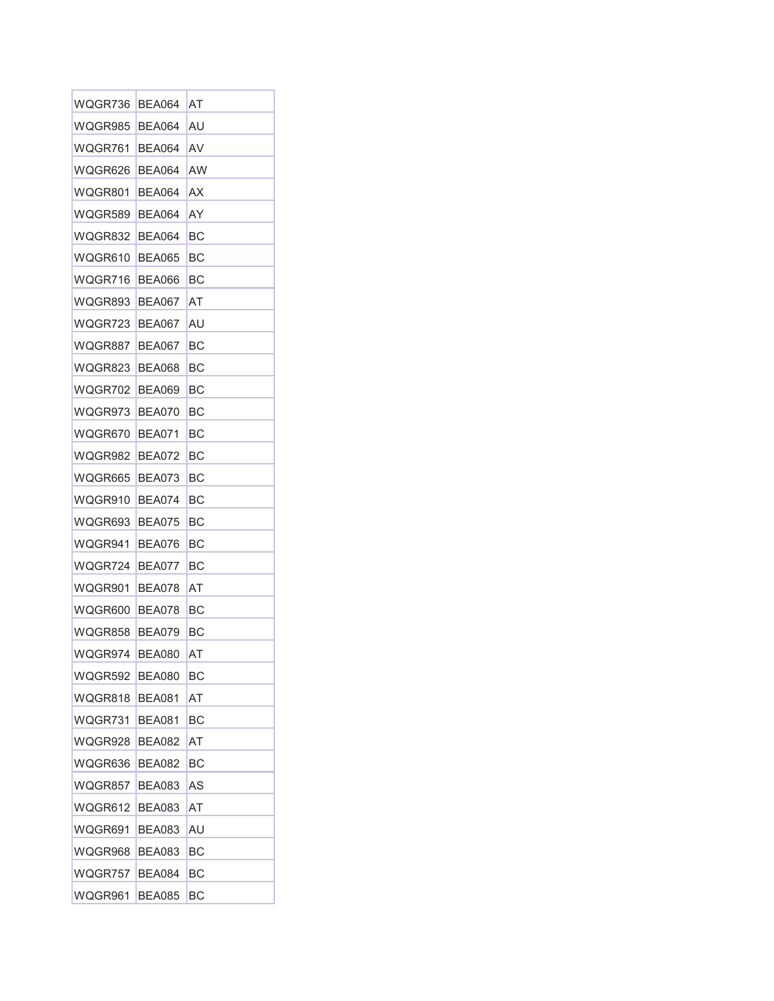| WQGR736 | BEA064        | AT |
|---------|---------------|----|
| WQGR985 | BEA064        | AU |
| WQGR761 | <b>BEA064</b> | AV |
| WQGR626 | <b>BEA064</b> | AW |
| WQGR801 | BEA064        | ΑX |
| WQGR589 | <b>BEA064</b> | ΑY |
| WQGR832 | <b>BEA064</b> | ВC |
| WQGR610 | <b>BEA065</b> | BС |
| WQGR716 | BEA066        | BС |
| WQGR893 | <b>BEA067</b> | AT |
| WQGR723 | BEA067        | AU |
| WQGR887 | <b>BEA067</b> | BС |
| WQGR823 | BEA068        | BС |
| WQGR702 | <b>BEA069</b> | BС |
| WQGR973 | BEA070        | BС |
| WQGR670 | BEA071        | BС |
| WQGR982 | <b>BEA072</b> | BС |
| WQGR665 | BEA073        | BС |
| WQGR910 | <b>BEA074</b> | BС |
| WQGR693 | BEA075        | BС |
| WQGR941 | BEA076        | BС |
| WQGR724 | BEA077        | BС |
| WQGR901 | BEA078        | AT |
| WQGR600 | BEA078        | BС |
| WQGR858 | BEA079        | BС |
| WQGR974 | <b>BEA080</b> | ΑT |
| WQGR592 | <b>BEA080</b> | BC |
| WQGR818 | BEA081        | AT |
| WQGR731 | <b>BEA081</b> | BС |
| WQGR928 | BEA082        | AT |
| WQGR636 | <b>BEA082</b> | BС |
| WQGR857 | <b>BEA083</b> | AS |
| WQGR612 | <b>BEA083</b> | AT |
| WQGR691 | BEA083        | AU |
| WQGR968 | BEA083        | BС |
| WQGR757 | BEA084        | BС |
| WQGR961 | <b>BEA085</b> | BС |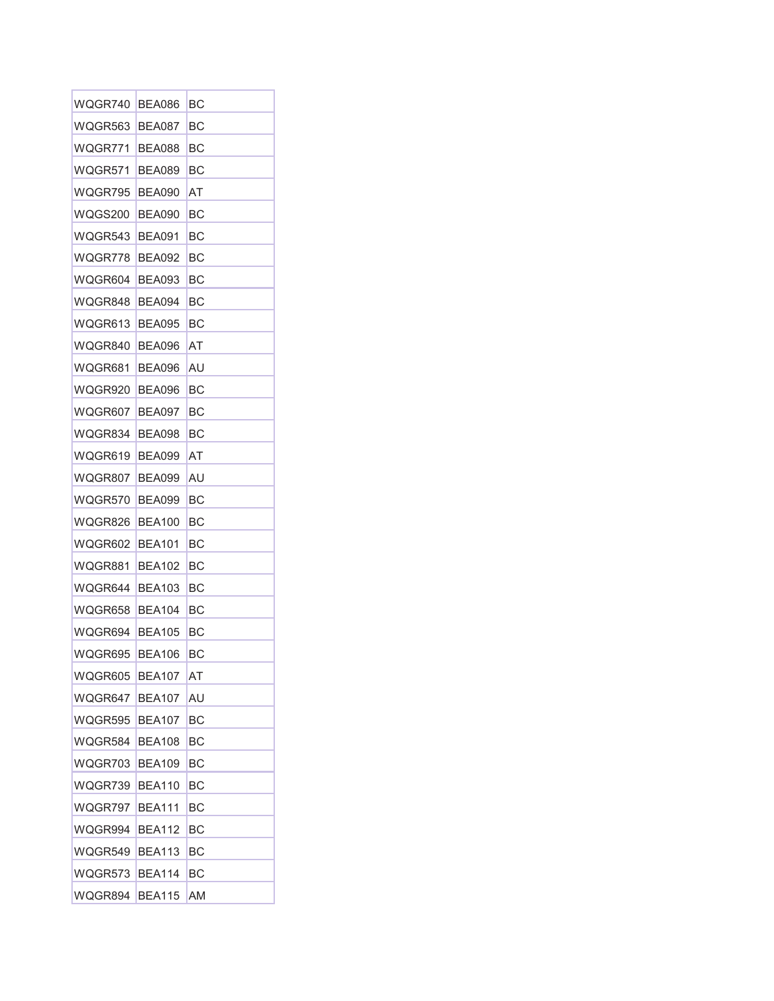| WQGR740        | BEA086        | BС |
|----------------|---------------|----|
| WQGR563        | BEA087        | BС |
| WQGR771        | <b>BEA088</b> | BС |
| WQGR571        | BEA089        | BС |
| WQGR795        | BEA090        | AT |
| WQGS200        | BEA090        | BС |
| WQGR543        | BEA091        | ВC |
| WQGR778        | <b>BEA092</b> | BС |
| WQGR604        | BEA093        | BС |
| WQGR848        | BEA094        | BС |
| WQGR613        | BEA095        | BС |
| WQGR840        | <b>BEA096</b> | AT |
| WQGR681        | BEA096        | AU |
| WQGR920        | BEA096        | ВC |
| WQGR607        | BEA097        | BС |
| WQGR834        | BEA098        | BС |
| WQGR619        | <b>BEA099</b> | AT |
| WQGR807        | <b>BEA099</b> | AU |
| WQGR570        | <b>BEA099</b> | BС |
| WQGR826        | BEA100        | BС |
| WQGR602        | <b>BEA101</b> | BС |
| WQGR881        | BEA102        | BС |
| WQGR644        | <b>BEA103</b> | BС |
| WQGR658        | BEA104        | BС |
| WQGR694        | <b>BEA105</b> | BС |
| WQGR695        | <b>BEA106</b> | ВC |
| WQGR605        | <b>BEA107</b> | AT |
| WQGR647        | BEA107        | AU |
| WQGR595        | <b>BEA107</b> | BС |
| WQGR584        | <b>BEA108</b> | ВC |
| WQGR703        | BEA109        | ВC |
| WQGR739        | <b>BEA110</b> | ВC |
| WQGR797        | <b>BEA111</b> | BС |
| WQGR994        | <b>BEA112</b> | BС |
| WQGR549        | <b>BEA113</b> | BС |
| WQGR573        | <b>BEA114</b> | BС |
| WQGR894 BEA115 |               | AM |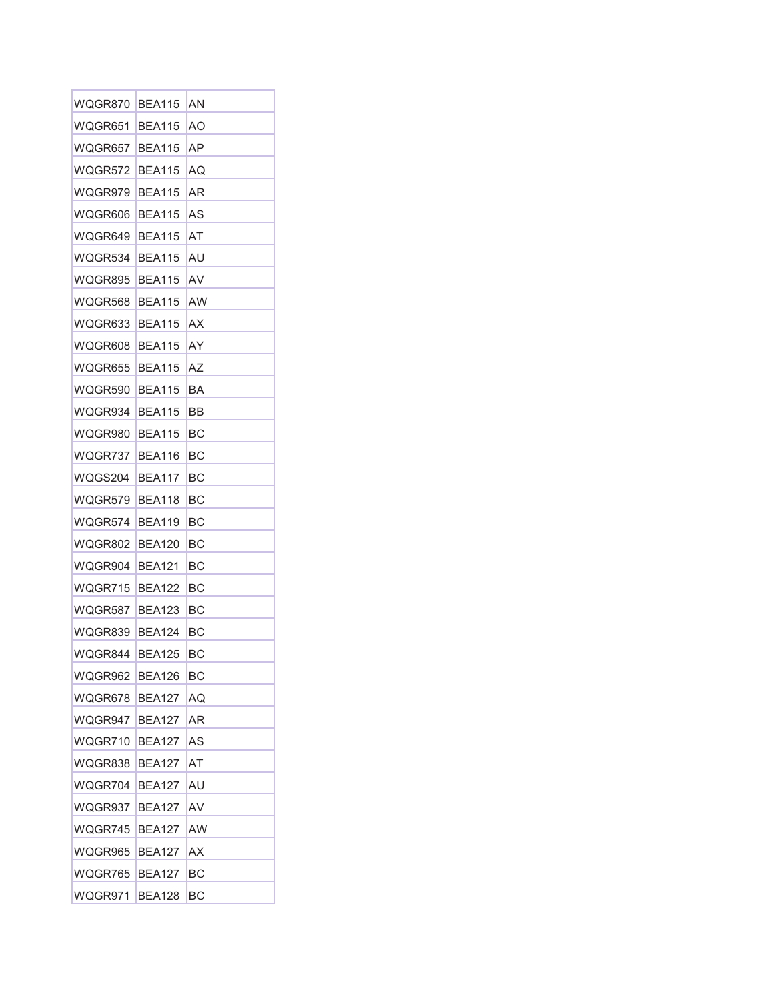| WQGR870 | <b>BEA115</b> | AN |
|---------|---------------|----|
| WQGR651 | <b>BEA115</b> | AΟ |
| WQGR657 | <b>BEA115</b> | ΑP |
| WQGR572 | <b>BEA115</b> | AQ |
| WQGR979 | <b>BEA115</b> | ΑR |
| WQGR606 | <b>BEA115</b> | AS |
| WQGR649 | <b>BEA115</b> | AT |
| WQGR534 | <b>BEA115</b> | AU |
| WQGR895 | <b>BEA115</b> | AV |
| WQGR568 | <b>BEA115</b> | AW |
| WQGR633 | <b>BEA115</b> | AX |
| WQGR608 | <b>BEA115</b> | AY |
| WQGR655 | <b>BEA115</b> | ΑZ |
| WQGR590 | <b>BEA115</b> | BA |
| WQGR934 | <b>BEA115</b> | BB |
| WQGR980 | <b>BEA115</b> | BС |
| WQGR737 | <b>BFA116</b> | BС |
| WQGS204 | <b>BEA117</b> | BС |
| WQGR579 | <b>BEA118</b> | BС |
| WQGR574 | BEA119        | BС |
| WQGR802 | BEA120        | BС |
| WQGR904 | <b>BEA121</b> | BС |
| WQGR715 | <b>BEA122</b> | BС |
| WQGR587 | <b>BEA123</b> | BС |
| WQGR839 | BEA124        | BС |
| WQGR844 | <b>BEA125</b> | ВC |
| WQGR962 | <b>BEA126</b> | BС |
| WQGR678 | BEA127        | AQ |
| WQGR947 | <b>BEA127</b> | AR |
| WQGR710 | <b>BEA127</b> | AS |
| WQGR838 | <b>BEA127</b> | AT |
| WQGR704 | <b>BEA127</b> | AU |
| WQGR937 | <b>BEA127</b> | AV |
| WQGR745 | <b>BEA127</b> | AW |
| WQGR965 | BEA127        | АX |
| WQGR765 | BEA127        | BС |
| WQGR971 | <b>BEA128</b> | BС |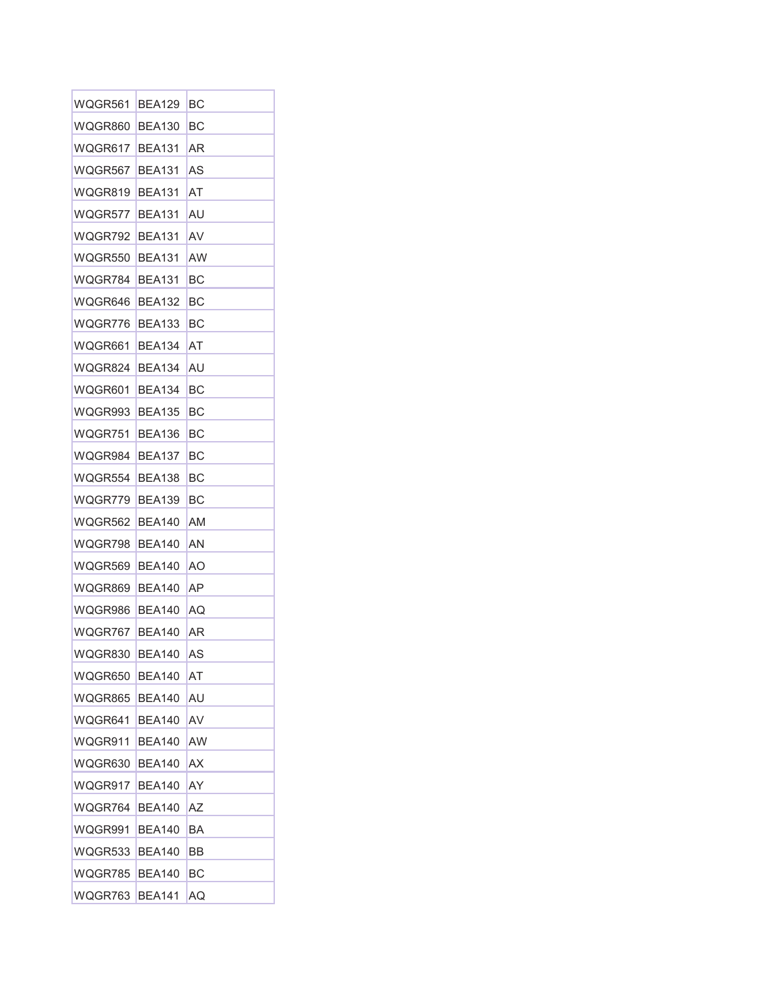| WQGR561 | <b>BEA129</b> | BС |
|---------|---------------|----|
| WQGR860 | <b>BEA130</b> | ВC |
| WQGR617 | <b>BEA131</b> | AR |
| WQGR567 | <b>BEA131</b> | AS |
| WQGR819 | <b>BEA131</b> | AT |
| WQGR577 | <b>BEA131</b> | AU |
| WQGR792 | <b>BEA131</b> | AV |
| WQGR550 | <b>BEA131</b> | AW |
| WQGR784 | <b>BEA131</b> | BС |
| WQGR646 | BEA132        | BС |
| WQGR776 | <b>BEA133</b> | BС |
| WQGR661 | <b>BEA134</b> | AT |
| WQGR824 | <b>BEA134</b> | AU |
| WQGR601 | <b>BEA134</b> | BС |
| WQGR993 | <b>BEA135</b> | BС |
| WQGR751 | <b>BEA136</b> | BС |
| WQGR984 | <b>BEA137</b> | ВC |
| WQGR554 | BEA138        | BС |
| WQGR779 | <b>BEA139</b> | BС |
| WQGR562 | <b>BEA140</b> | ΑM |
| WQGR798 | BEA140        | ΑN |
| WQGR569 | BEA140        | ΑO |
| WQGR869 | <b>BEA140</b> | AP |
| WQGR986 | BEA140        | AQ |
| WQGR767 | BEA140        | AR |
| WQGR830 | <b>BEA140</b> | AS |
| WQGR650 | BEA140        | AT |
| WQGR865 | <b>BEA140</b> | AU |
| WQGR641 | <b>BEA140</b> | AV |
| WQGR911 | <b>BEA140</b> | AW |
| WQGR630 | BEA140        | АX |
| WQGR917 | <b>BEA140</b> | AY |
| WQGR764 | BEA140        | AΖ |
| WQGR991 | <b>BEA140</b> | BA |
| WQGR533 | BEA140        | BB |
| WQGR785 | BEA140        | BС |
| WQGR763 | <b>BEA141</b> | AQ |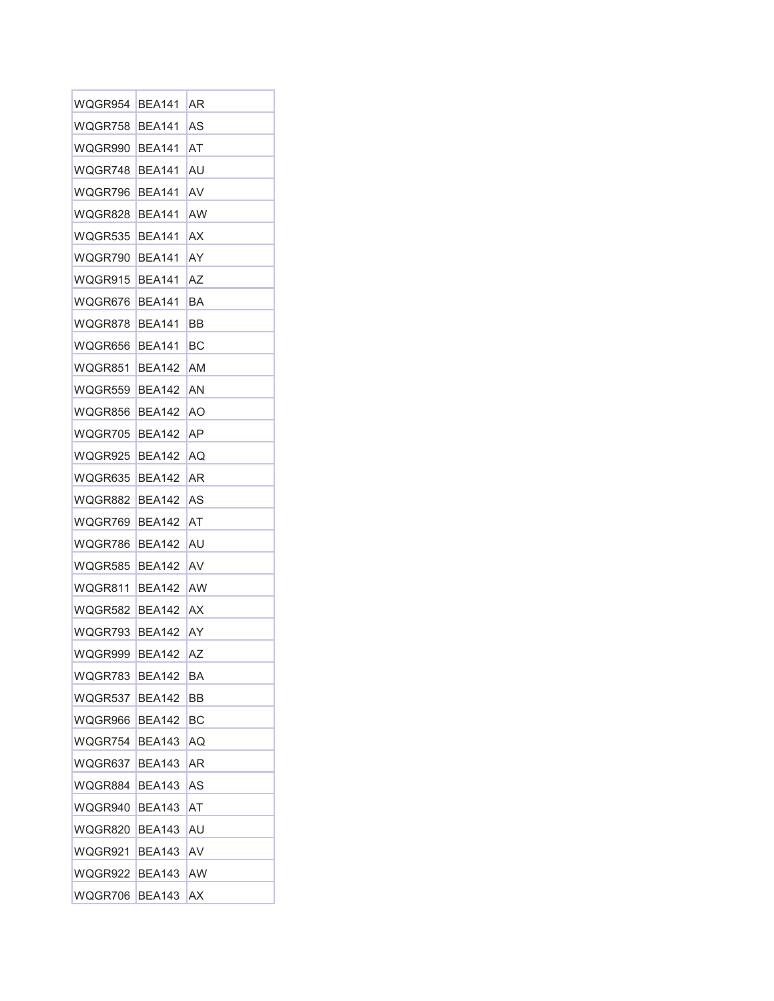| WQGR954 | <b>BEA141</b> | AR |
|---------|---------------|----|
| WQGR758 | <b>BEA141</b> | AS |
| WQGR990 | <b>BEA141</b> | AT |
| WQGR748 | <b>BEA141</b> | AU |
| WQGR796 | <b>BEA141</b> | AV |
| WQGR828 | <b>BEA141</b> | AW |
| WQGR535 | <b>BEA141</b> | AΧ |
| WQGR790 | <b>BEA141</b> | AY |
| WQGR915 | <b>BEA141</b> | ΑZ |
| WQGR676 | <b>BEA141</b> | BA |
| WQGR878 | <b>BEA141</b> | BB |
| WQGR656 | <b>BEA141</b> | ВC |
| WQGR851 | <b>BEA142</b> | AM |
| WQGR559 | BEA142        | ΑN |
| WQGR856 | <b>BEA142</b> | ΑO |
| WQGR705 | BEA142        | AΡ |
| WQGR925 | <b>BEA142</b> | AQ |
| WQGR635 | BEA142        | AR |
| WQGR882 | BEA142        | AS |
| WQGR769 | <b>BEA142</b> | AT |
| WQGR786 | BEA142        | AU |
| WQGR585 | BEA142        | AV |
| WQGR811 | <b>BEA142</b> | AW |
| WQGR582 | BEA142        | ΑX |
| WQGR793 | BEA142        | AY |
| WQGR999 | <b>BEA142</b> | ΑZ |
| WQGR783 | BEA142        | BA |
| WQGR537 | BEA142        | BB |
| WQGR966 | BEA142        | ВC |
| WQGR754 | <b>BEA143</b> | AQ |
| WQGR637 | BEA143        | ΑR |
| WQGR884 | <b>BEA143</b> | AS |
| WQGR940 | <b>BEA143</b> | AT |
| WQGR820 | <b>BEA143</b> | AU |
| WQGR921 | BEA143        | AV |
| WQGR922 | BEA143        | AW |
| WQGR706 | <b>BEA143</b> | ΑX |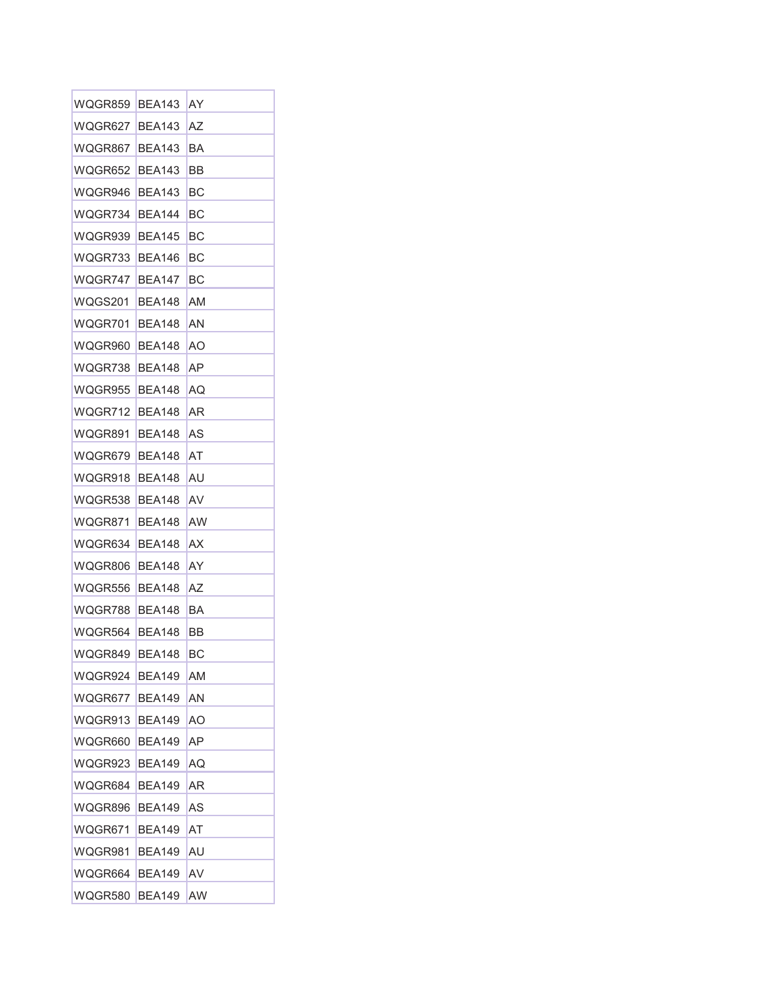| WQGR859 | <b>BEA143</b> | AY |
|---------|---------------|----|
| WQGR627 | <b>BEA143</b> | AZ |
| WQGR867 | <b>BEA143</b> | BA |
| WQGR652 | BEA143        | BB |
| WQGR946 | BEA143        | BС |
| WQGR734 | BEA144        | BС |
| WQGR939 | <b>BEA145</b> | BС |
| WQGR733 | <b>BEA146</b> | BС |
| WQGR747 | <b>BEA147</b> | BС |
| WQGS201 | BEA148        | AM |
| WQGR701 | BEA148        | ΑN |
| WQGR960 | <b>BEA148</b> | ΑO |
| WQGR738 | BEA148        | AΡ |
| WQGR955 | <b>BEA148</b> | AQ |
| WQGR712 | BEA148        | AR |
| WQGR891 | BEA148        | AS |
| WQGR679 | <b>BEA148</b> | AT |
| WQGR918 | <b>BEA148</b> | AU |
| WQGR538 | <b>BEA148</b> | AV |
| WQGR871 | BEA148        | AW |
| WQGR634 | BEA148        | ΑX |
| WQGR806 | BEA148        | AY |
| WQGR556 | BEA148        | AZ |
| WQGR788 | BEA148        | BA |
| WQGR564 | BEA148        | BВ |
| WQGR849 | <b>BEA148</b> | BC |
| WQGR924 | <b>BEA149</b> | ΑM |
| WQGR677 | BEA149        | ΑN |
| WQGR913 | <b>BEA149</b> | AO |
| WQGR660 | <b>BEA149</b> | ΑP |
| WQGR923 | <b>BEA149</b> | AQ |
| WQGR684 | BEA149        | AR |
| WQGR896 | <b>BEA149</b> | AS |
| WQGR671 | BEA149        | AT |
| WQGR981 | BEA149        | AU |
| WQGR664 | BEA149        | AV |
| WQGR580 | <b>BEA149</b> | AW |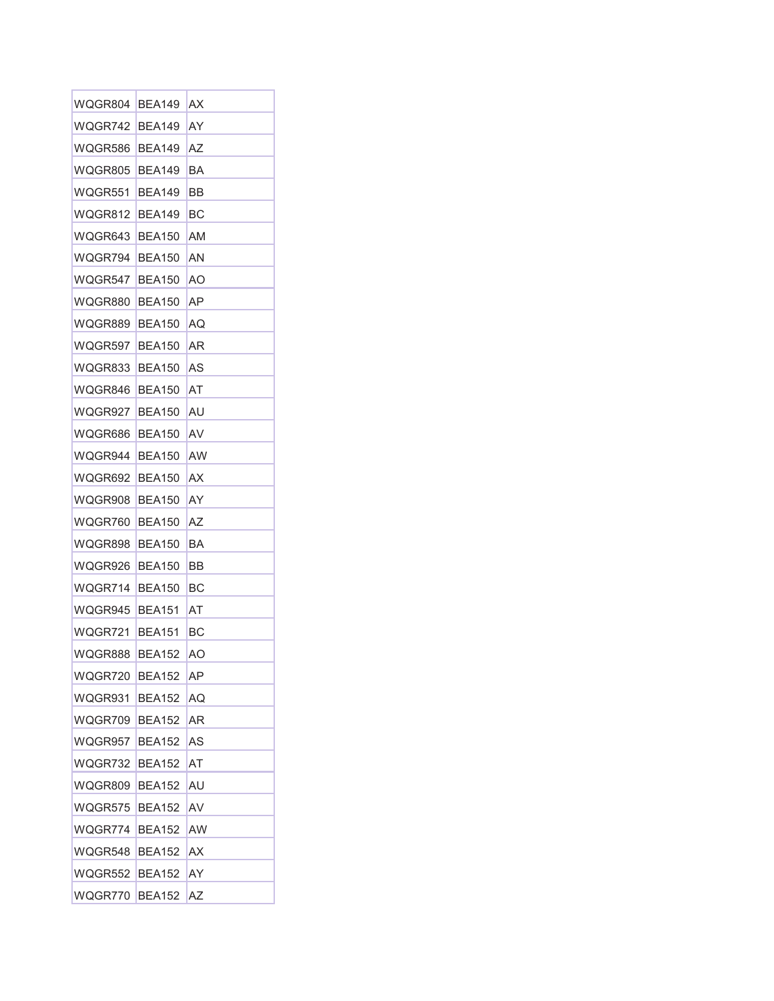| WQGR804 | <b>BEA149</b> | ΑX |
|---------|---------------|----|
| WQGR742 | <b>BEA149</b> | AY |
| WQGR586 | BEA149        | AZ |
| WQGR805 | <b>BEA149</b> | BA |
| WQGR551 | BEA149        | BB |
| WQGR812 | BEA149        | BС |
| WQGR643 | <b>BFA150</b> | AM |
| WQGR794 | <b>BEA150</b> | AN |
| WQGR547 | <b>BEA150</b> | AΟ |
| WQGR880 | <b>BEA150</b> | AΡ |
| WQGR889 | <b>BEA150</b> | AQ |
| WQGR597 | <b>BEA150</b> | AR |
| WQGR833 | <b>BEA150</b> | AS |
| WQGR846 | <b>BEA150</b> | AT |
| WQGR927 | <b>BEA150</b> | AU |
| WQGR686 | <b>BEA150</b> | AV |
| WQGR944 | <b>BEA150</b> | AW |
| WQGR692 | <b>BEA150</b> | ΑX |
| WQGR908 | <b>BEA150</b> | AY |
| WQGR760 | <b>BEA150</b> | ΑZ |
| WQGR898 | <b>BEA150</b> | BA |
| WQGR926 | <b>BEA150</b> | BB |
| WQGR714 | <b>BEA150</b> | BС |
| WQGR945 | <b>BEA151</b> | AT |
| WQGR721 | <b>BEA151</b> | ВC |
| WQGR888 | <b>BEA152</b> | AΟ |
| WQGR720 | <b>BEA152</b> | AΡ |
| WQGR931 | BEA152        | AQ |
| WQGR709 | <b>BEA152</b> | AR |
| WQGR957 | <b>BEA152</b> | AS |
| WQGR732 | <b>BEA152</b> | AT |
| WQGR809 | <b>BEA152</b> | AU |
| WQGR575 | BEA152        | AV |
| WQGR774 | <b>BEA152</b> | AW |
| WQGR548 | <b>BEA152</b> | АX |
| WQGR552 | <b>BEA152</b> | AY |
| WQGR770 | <b>BEA152</b> | ΑZ |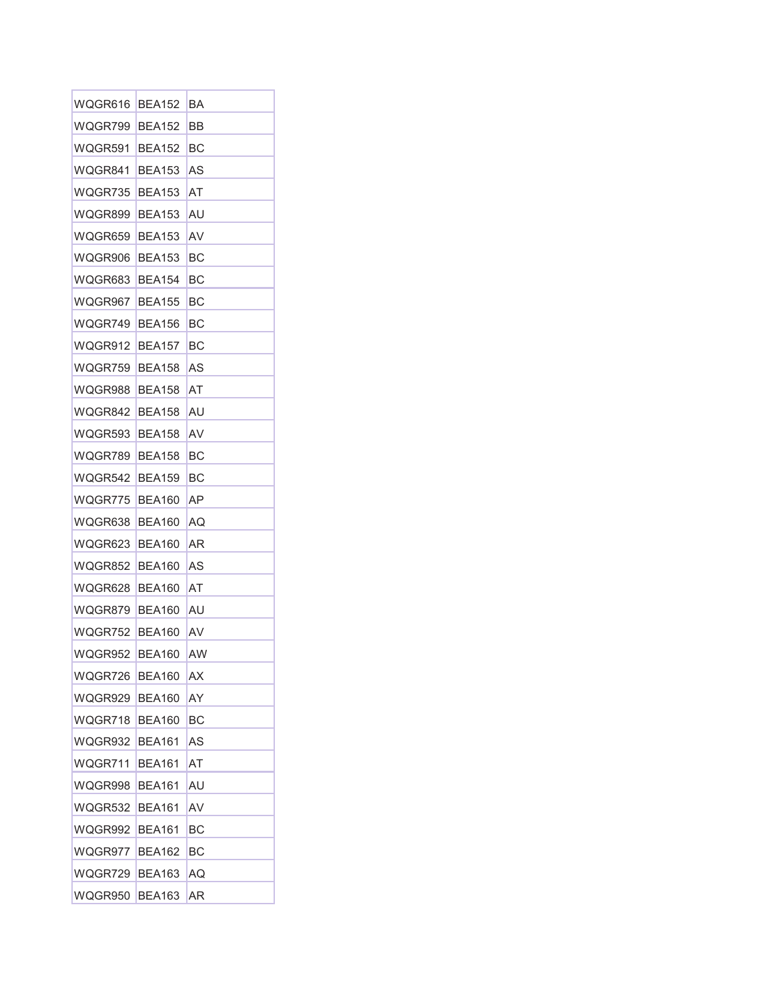| WQGR616 | <b>BEA152</b> | BA |
|---------|---------------|----|
| WQGR799 | <b>BEA152</b> | ВB |
| WQGR591 | <b>BEA152</b> | BС |
| WQGR841 | <b>BEA153</b> | AS |
| WQGR735 | <b>BEA153</b> | AT |
| WQGR899 | <b>BEA153</b> | AU |
| WQGR659 | <b>BEA153</b> | AV |
| WQGR906 | <b>BEA153</b> | ВC |
| WQGR683 | <b>BEA154</b> | BС |
| WQGR967 | <b>BEA155</b> | BС |
| WQGR749 | <b>BEA156</b> | BС |
| WQGR912 | <b>BEA157</b> | ВC |
| WQGR759 | <b>BEA158</b> | AS |
| WQGR988 | <b>BEA158</b> | AT |
| WQGR842 | <b>BEA158</b> | AU |
| WQGR593 | <b>BEA158</b> | AV |
| WQGR789 | <b>BEA158</b> | BС |
| WQGR542 | <b>BEA159</b> | BС |
| WQGR775 | <b>BEA160</b> | AΡ |
| WQGR638 | BEA160        | AQ |
| WQGR623 | <b>BEA160</b> | AR |
| WQGR852 | BEA160        | AS |
| WQGR628 | BEA160        | AT |
| WQGR879 | BEA160        | AU |
| WQGR752 | BEA160        | AV |
| WQGR952 | <b>BEA160</b> | AW |
| WQGR726 | <b>BEA160</b> | AX |
| WQGR929 | BEA160        | AY |
| WQGR718 | <b>BEA160</b> | BС |
| WQGR932 | BEA161        | AS |
| WQGR711 | <b>BEA161</b> | AT |
| WQGR998 | <b>BEA161</b> | AU |
| WQGR532 | <b>BEA161</b> | AV |
| WQGR992 | <b>BEA161</b> | BС |
| WQGR977 | BEA162        | BС |
| WQGR729 | <b>BEA163</b> | AQ |
| WQGR950 | <b>BEA163</b> | AR |